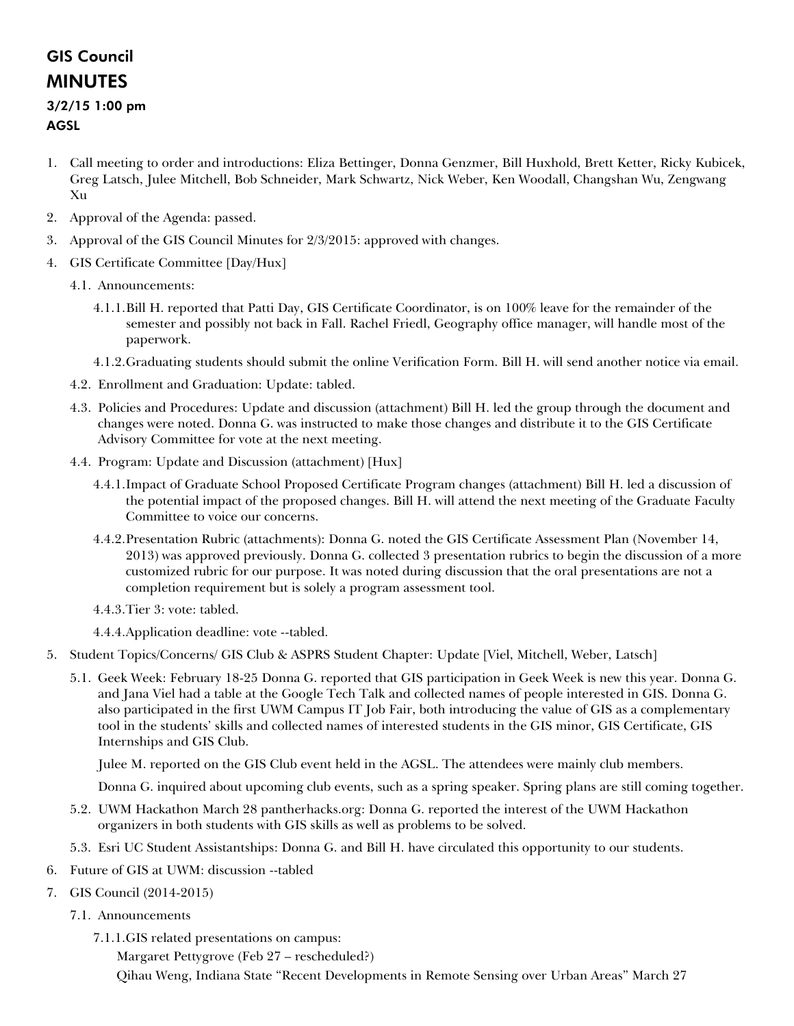# GIS Council MINUTES

### 3/2/15 1:00 pm AGSL

- 1. Call meeting to order and introductions: Eliza Bettinger, Donna Genzmer, Bill Huxhold, Brett Ketter, Ricky Kubicek, Greg Latsch, Julee Mitchell, Bob Schneider, Mark Schwartz, Nick Weber, Ken Woodall, Changshan Wu, Zengwang Xu
- 2. Approval of the Agenda: passed.
- 3. Approval of the GIS Council Minutes for 2/3/2015: approved with changes.
- 4. GIS Certificate Committee [Day/Hux]
	- 4.1. Announcements:
		- 4.1.1.Bill H. reported that Patti Day, GIS Certificate Coordinator, is on 100% leave for the remainder of the semester and possibly not back in Fall. Rachel Friedl, Geography office manager, will handle most of the paperwork.
		- 4.1.2.Graduating students should submit the online Verification Form. Bill H. will send another notice via email.
	- 4.2. Enrollment and Graduation: Update: tabled.
	- 4.3. Policies and Procedures: Update and discussion (attachment) Bill H. led the group through the document and changes were noted. Donna G. was instructed to make those changes and distribute it to the GIS Certificate Advisory Committee for vote at the next meeting.
	- 4.4. Program: Update and Discussion (attachment) [Hux]
		- 4.4.1.Impact of Graduate School Proposed Certificate Program changes (attachment) Bill H. led a discussion of the potential impact of the proposed changes. Bill H. will attend the next meeting of the Graduate Faculty Committee to voice our concerns.
		- 4.4.2.Presentation Rubric (attachments): Donna G. noted the GIS Certificate Assessment Plan (November 14, 2013) was approved previously. Donna G. collected 3 presentation rubrics to begin the discussion of a more customized rubric for our purpose. It was noted during discussion that the oral presentations are not a completion requirement but is solely a program assessment tool.
		- 4.4.3.Tier 3: vote: tabled.

4.4.4.Application deadline: vote --tabled.

- 5. Student Topics/Concerns/ GIS Club & ASPRS Student Chapter: Update [Viel, Mitchell, Weber, Latsch]
	- 5.1. Geek Week: February 18-25 Donna G. reported that GIS participation in Geek Week is new this year. Donna G. and Jana Viel had a table at the Google Tech Talk and collected names of people interested in GIS. Donna G. also participated in the first UWM Campus IT Job Fair, both introducing the value of GIS as a complementary tool in the students' skills and collected names of interested students in the GIS minor, GIS Certificate, GIS Internships and GIS Club.

Julee M. reported on the GIS Club event held in the AGSL. The attendees were mainly club members.

Donna G. inquired about upcoming club events, such as a spring speaker. Spring plans are still coming together.

- 5.2. UWM Hackathon March 28 pantherhacks.org: Donna G. reported the interest of the UWM Hackathon organizers in both students with GIS skills as well as problems to be solved.
- 5.3. Esri UC Student Assistantships: Donna G. and Bill H. have circulated this opportunity to our students.
- 6. Future of GIS at UWM: discussion --tabled
- 7. GIS Council (2014-2015)
	- 7.1. Announcements
		- 7.1.1.GIS related presentations on campus:

Margaret Pettygrove (Feb 27 – rescheduled?) Qihau Weng, Indiana State "Recent Developments in Remote Sensing over Urban Areas" March 27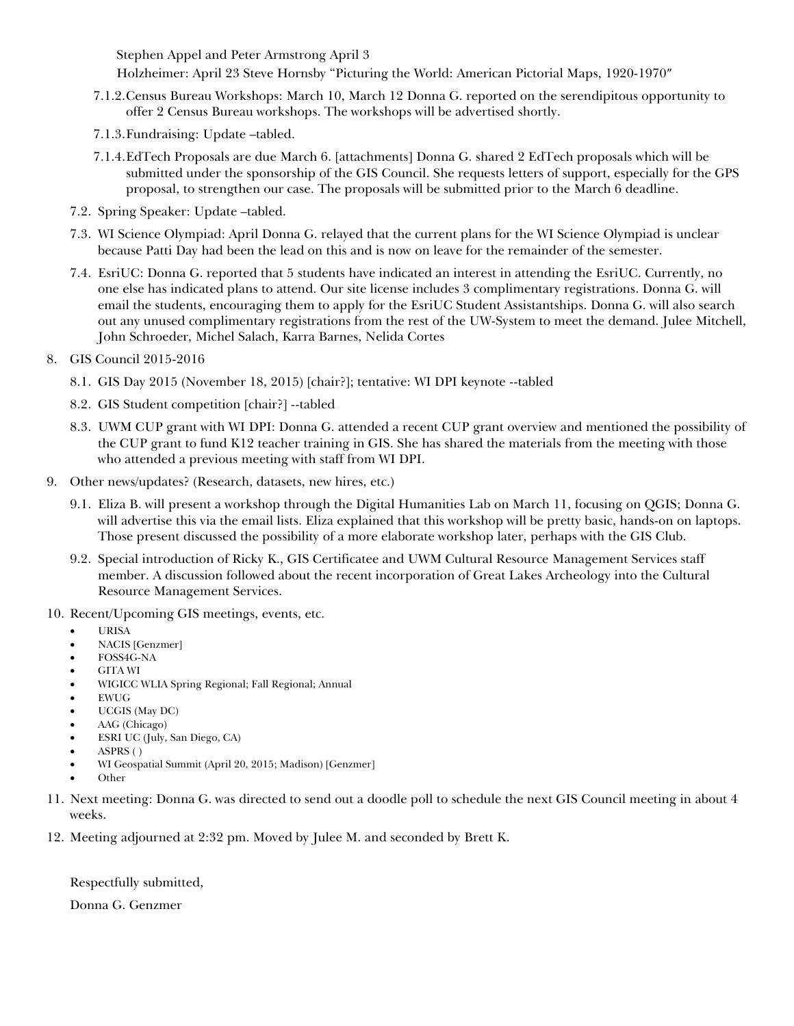Stephen Appel and Peter Armstrong April 3

Holzheimer: April 23 Steve Hornsby "Picturing the World: American Pictorial Maps, 1920-1970″

- 7.1.2.Census Bureau Workshops: March 10, March 12 Donna G. reported on the serendipitous opportunity to offer 2 Census Bureau workshops. The workshops will be advertised shortly.
- 7.1.3.Fundraising: Update –tabled.
- 7.1.4.EdTech Proposals are due March 6. [attachments] Donna G. shared 2 EdTech proposals which will be submitted under the sponsorship of the GIS Council. She requests letters of support, especially for the GPS proposal, to strengthen our case. The proposals will be submitted prior to the March 6 deadline.
- 7.2. Spring Speaker: Update –tabled.
- 7.3. WI Science Olympiad: April Donna G. relayed that the current plans for the WI Science Olympiad is unclear because Patti Day had been the lead on this and is now on leave for the remainder of the semester.
- 7.4. EsriUC: Donna G. reported that 5 students have indicated an interest in attending the EsriUC. Currently, no one else has indicated plans to attend. Our site license includes 3 complimentary registrations. Donna G. will email the students, encouraging them to apply for the EsriUC Student Assistantships. Donna G. will also search out any unused complimentary registrations from the rest of the UW-System to meet the demand. Julee Mitchell, John Schroeder, Michel Salach, Karra Barnes, Nelida Cortes
- 8. GIS Council 2015-2016
	- 8.1. GIS Day 2015 (November 18, 2015) [chair?]; tentative: WI DPI keynote --tabled
	- 8.2. GIS Student competition [chair?] --tabled
	- 8.3. UWM CUP grant with WI DPI: Donna G. attended a recent CUP grant overview and mentioned the possibility of the CUP grant to fund K12 teacher training in GIS. She has shared the materials from the meeting with those who attended a previous meeting with staff from WI DPI.
- 9. Other news/updates? (Research, datasets, new hires, etc.)
	- 9.1. Eliza B. will present a workshop through the Digital Humanities Lab on March 11, focusing on QGIS; Donna G. will advertise this via the email lists. Eliza explained that this workshop will be pretty basic, hands-on on laptops. Those present discussed the possibility of a more elaborate workshop later, perhaps with the GIS Club.
	- 9.2. Special introduction of Ricky K., GIS Certificatee and UWM Cultural Resource Management Services staff member. A discussion followed about the recent incorporation of Great Lakes Archeology into the Cultural Resource Management Services.
- 10. Recent/Upcoming GIS meetings, events, etc.
	- URISA
	- NACIS [Genzmer]
	- FOSS4G-NA
	- GITA WI
	- WIGICC WLIA Spring Regional; Fall Regional; Annual
	- EWUG
	- UCGIS (May DC)
	- AAG (Chicago)
	- ESRI UC (July, San Diego, CA)
	- ASPRS ( )
	- WI Geospatial Summit (April 20, 2015; Madison) [Genzmer]
	- Other
- 11. Next meeting: Donna G. was directed to send out a doodle poll to schedule the next GIS Council meeting in about 4 weeks.
- 12. Meeting adjourned at 2:32 pm. Moved by Julee M. and seconded by Brett K.

Respectfully submitted,

Donna G. Genzmer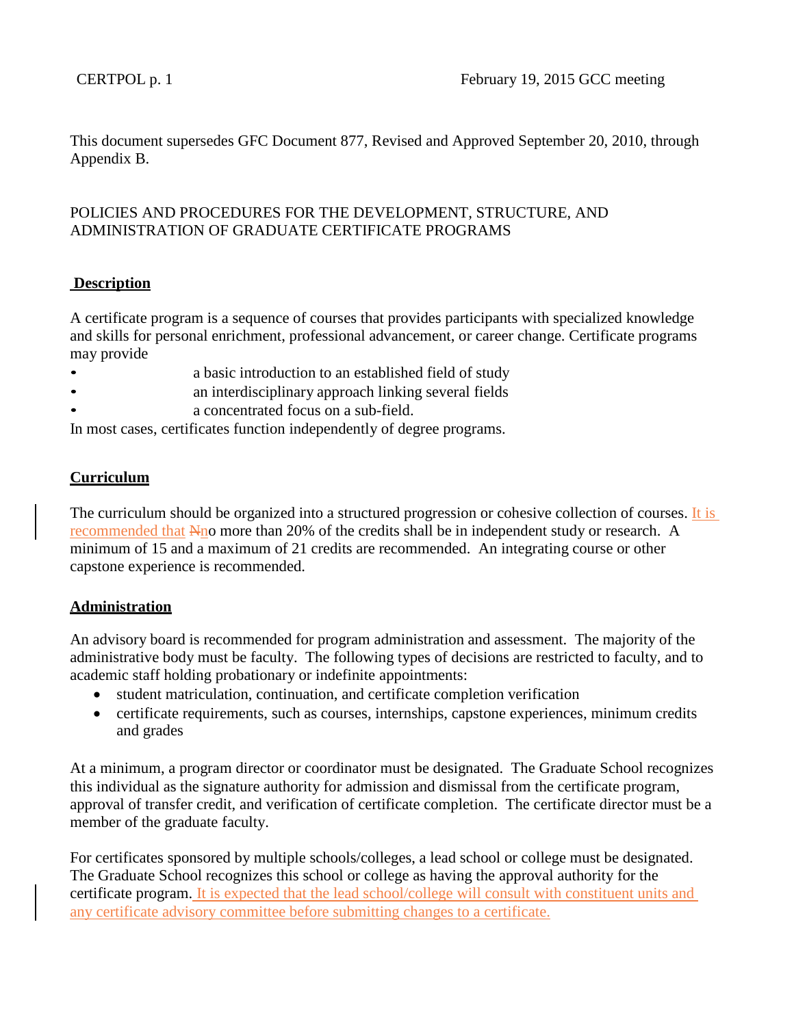This document supersedes GFC Document 877, Revised and Approved September 20, 2010, through Appendix B.

# POLICIES AND PROCEDURES FOR THE DEVELOPMENT, STRUCTURE, AND ADMINISTRATION OF GRADUATE CERTIFICATE PROGRAMS

# **Description**

A certificate program is a sequence of courses that provides participants with specialized knowledge and skills for personal enrichment, professional advancement, or career change. Certificate programs may provide

- a basic introduction to an established field of study
- **and interdisciplinary approach linking several fields**
- a concentrated focus on a sub-field.

In most cases, certificates function independently of degree programs.

# **Curriculum**

The curriculum should be organized into a structured progression or cohesive collection of courses. It is recommended that Nno more than 20% of the credits shall be in independent study or research. A minimum of 15 and a maximum of 21 credits are recommended. An integrating course or other capstone experience is recommended.

# **Administration**

An advisory board is recommended for program administration and assessment. The majority of the administrative body must be faculty. The following types of decisions are restricted to faculty, and to academic staff holding probationary or indefinite appointments:

- student matriculation, continuation, and certificate completion verification
- certificate requirements, such as courses, internships, capstone experiences, minimum credits and grades

At a minimum, a program director or coordinator must be designated. The Graduate School recognizes this individual as the signature authority for admission and dismissal from the certificate program, approval of transfer credit, and verification of certificate completion. The certificate director must be a member of the graduate faculty.

For certificates sponsored by multiple schools/colleges, a lead school or college must be designated. The Graduate School recognizes this school or college as having the approval authority for the certificate program. It is expected that the lead school/college will consult with constituent units and any certificate advisory committee before submitting changes to a certificate.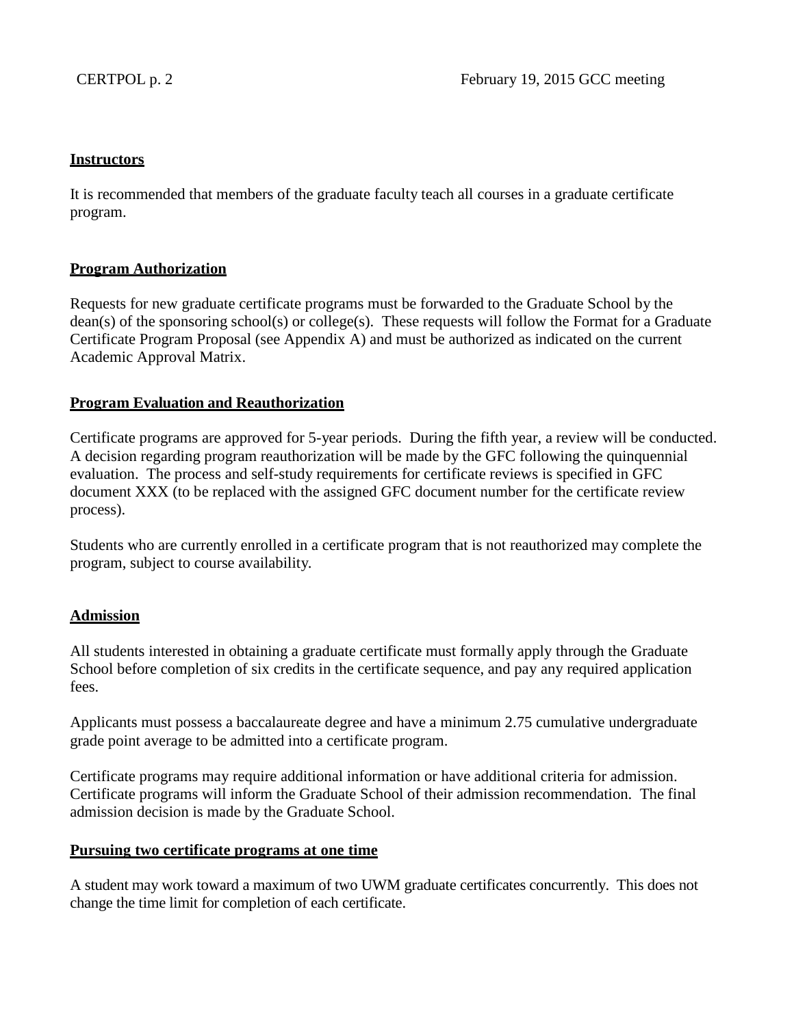### **Instructors**

It is recommended that members of the graduate faculty teach all courses in a graduate certificate program.

### **Program Authorization**

Requests for new graduate certificate programs must be forwarded to the Graduate School by the dean(s) of the sponsoring school(s) or college(s). These requests will follow the Format for a Graduate Certificate Program Proposal (see Appendix A) and must be authorized as indicated on the current Academic Approval Matrix.

# **Program Evaluation and Reauthorization**

Certificate programs are approved for 5-year periods. During the fifth year, a review will be conducted. A decision regarding program reauthorization will be made by the GFC following the quinquennial evaluation. The process and self-study requirements for certificate reviews is specified in GFC document XXX (to be replaced with the assigned GFC document number for the certificate review process).

Students who are currently enrolled in a certificate program that is not reauthorized may complete the program, subject to course availability.

# **Admission**

All students interested in obtaining a graduate certificate must formally apply through the Graduate School before completion of six credits in the certificate sequence, and pay any required application fees.

Applicants must possess a baccalaureate degree and have a minimum 2.75 cumulative undergraduate grade point average to be admitted into a certificate program.

Certificate programs may require additional information or have additional criteria for admission. Certificate programs will inform the Graduate School of their admission recommendation. The final admission decision is made by the Graduate School.

### **Pursuing two certificate programs at one time**

A student may work toward a maximum of two UWM graduate certificates concurrently. This does not change the time limit for completion of each certificate.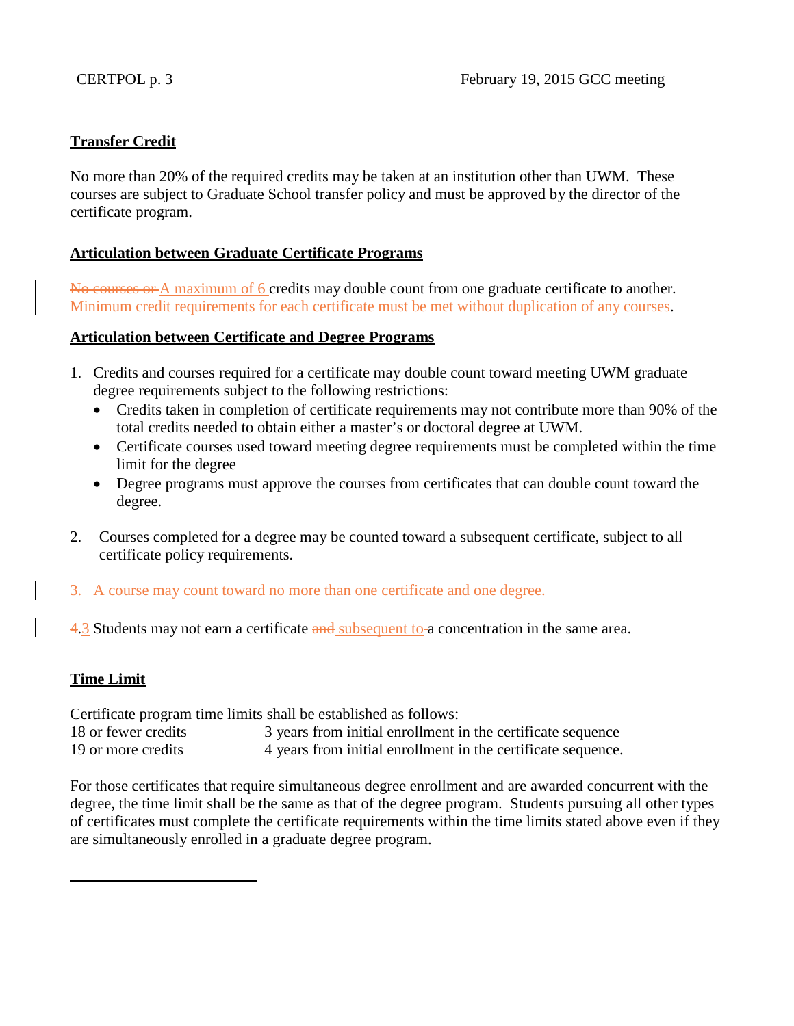# **Transfer Credit**

No more than 20% of the required credits may be taken at an institution other than UWM. These courses are subject to Graduate School transfer policy and must be approved by the director of the certificate program.

# **Articulation between Graduate Certificate Programs**

No courses or A maximum of 6 credits may double count from one graduate certificate to another. Minimum credit requirements for each certificate must be met without duplication of any courses.

# **Articulation between Certificate and Degree Programs**

- 1. Credits and courses required for a certificate may double count toward meeting UWM graduate degree requirements subject to the following restrictions:
	- Credits taken in completion of certificate requirements may not contribute more than 90% of the total credits needed to obtain either a master's or doctoral degree at UWM.
	- Certificate courses used toward meeting degree requirements must be completed within the time limit for the degree
	- Degree programs must approve the courses from certificates that can double count toward the degree.
- 2. Courses completed for a degree may be counted toward a subsequent certificate, subject to all certificate policy requirements.

3. A course may count toward no more than one certificate and one degree.

4.3 Students may not earn a certificate and subsequent to-a concentration in the same area.

# **Time Limit**

Certificate program time limits shall be established as follows: 18 or fewer credits 3 years from initial enrollment in the certificate sequence 19 or more credits 4 years from initial enrollment in the certificate sequence.

For those certificates that require simultaneous degree enrollment and are awarded concurrent with the degree, the time limit shall be the same as that of the degree program. Students pursuing all other types of certificates must complete the certificate requirements within the time limits stated above even if they are simultaneously enrolled in a graduate degree program.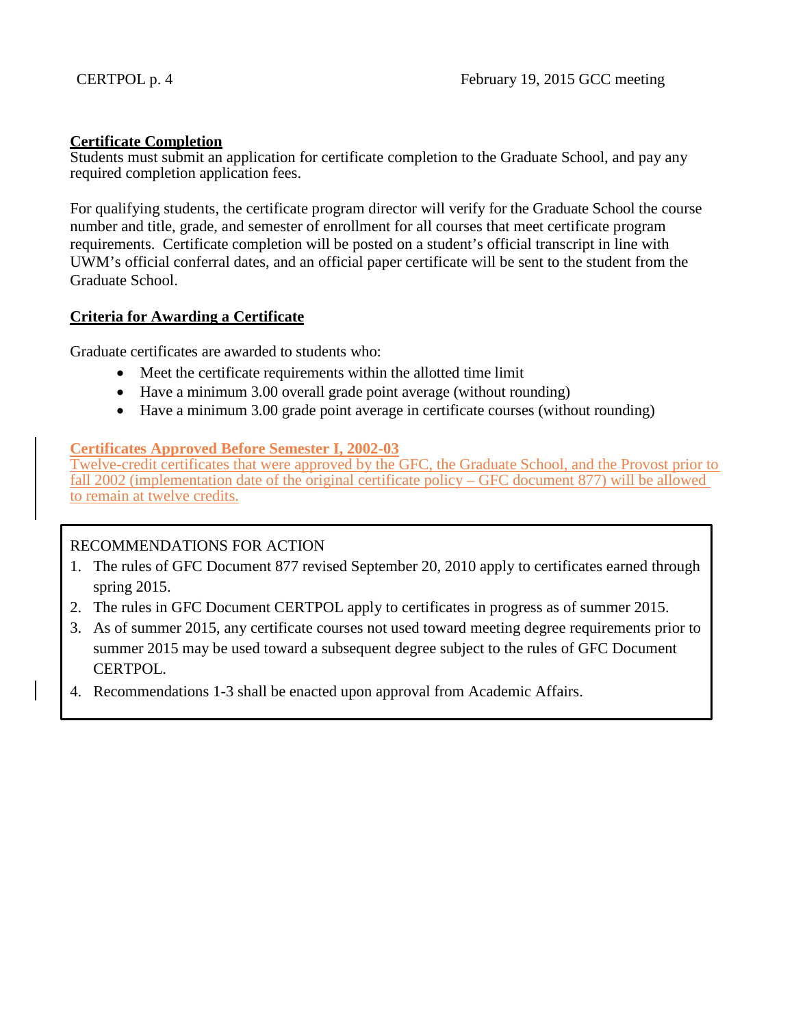### **Certificate Completion**

Students must submit an application for certificate completion to the Graduate School, and pay any required completion application fees.

For qualifying students, the certificate program director will verify for the Graduate School the course number and title, grade, and semester of enrollment for all courses that meet certificate program requirements. Certificate completion will be posted on a student's official transcript in line with UWM's official conferral dates, and an official paper certificate will be sent to the student from the Graduate School.

### **Criteria for Awarding a Certificate**

Graduate certificates are awarded to students who:

- Meet the certificate requirements within the allotted time limit
- Have a minimum 3.00 overall grade point average (without rounding)
- Have a minimum 3.00 grade point average in certificate courses (without rounding)

# **Certificates Approved Before Semester I, 2002-03**

Twelve-credit certificates that were approved by the GFC, the Graduate School, and the Provost prior to fall 2002 (implementation date of the original certificate policy – GFC document 877) will be allowed to remain at twelve credits.

# RECOMMENDATIONS FOR ACTION

- 1. The rules of GFC Document 877 revised September 20, 2010 apply to certificates earned through spring 2015.
- 2. The rules in GFC Document CERTPOL apply to certificates in progress as of summer 2015.
- 3. As of summer 2015, any certificate courses not used toward meeting degree requirements prior to summer 2015 may be used toward a subsequent degree subject to the rules of GFC Document CERTPOL.
- 4. Recommendations 1-3 shall be enacted upon approval from Academic Affairs.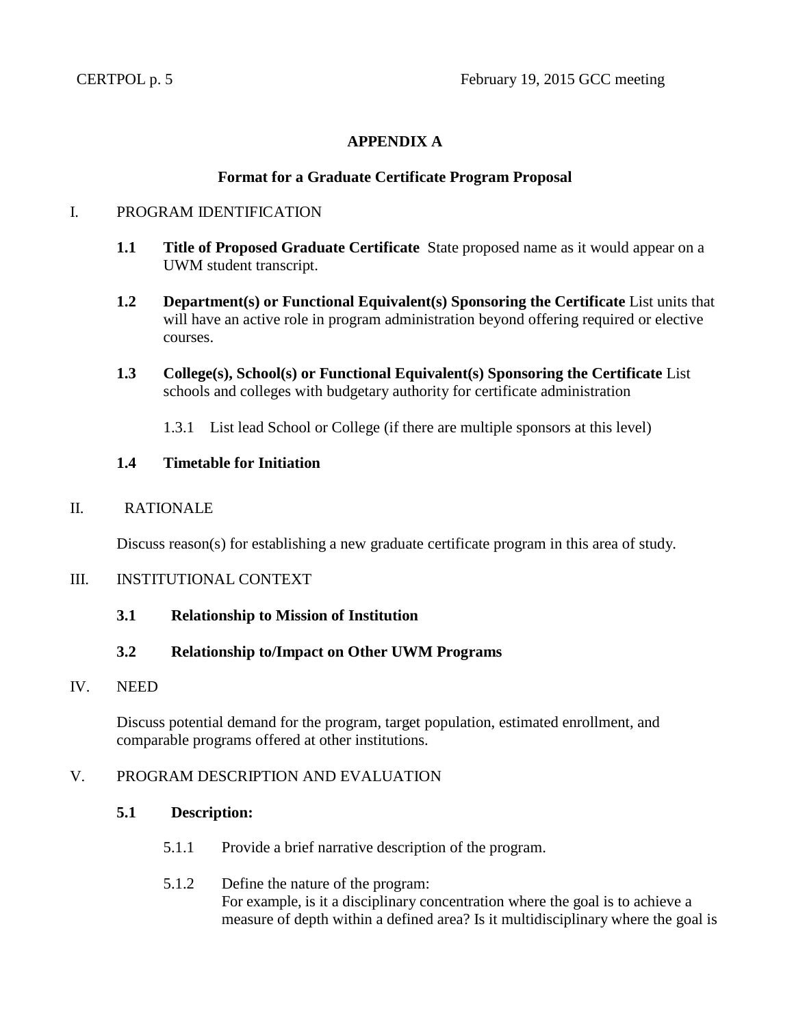# **APPENDIX A**

### **Format for a Graduate Certificate Program Proposal**

### I. PROGRAM IDENTIFICATION

- **1.1 Title of Proposed Graduate Certificate** State proposed name as it would appear on a UWM student transcript.
- **1.2 Department(s) or Functional Equivalent(s) Sponsoring the Certificate** List units that will have an active role in program administration beyond offering required or elective courses.
- **1.3 College(s), School(s) or Functional Equivalent(s) Sponsoring the Certificate** List schools and colleges with budgetary authority for certificate administration
	- 1.3.1 List lead School or College (if there are multiple sponsors at this level)

### **1.4 Timetable for Initiation**

### II. RATIONALE

Discuss reason(s) for establishing a new graduate certificate program in this area of study.

### III. INSTITUTIONAL CONTEXT

**3.1 Relationship to Mission of Institution**

# **3.2 Relationship to/Impact on Other UWM Programs**

### IV. NEED

Discuss potential demand for the program, target population, estimated enrollment, and comparable programs offered at other institutions.

### V. PROGRAM DESCRIPTION AND EVALUATION

### **5.1 Description:**

- 5.1.1 Provide a brief narrative description of the program.
- 5.1.2 Define the nature of the program: For example, is it a disciplinary concentration where the goal is to achieve a measure of depth within a defined area? Is it multidisciplinary where the goal is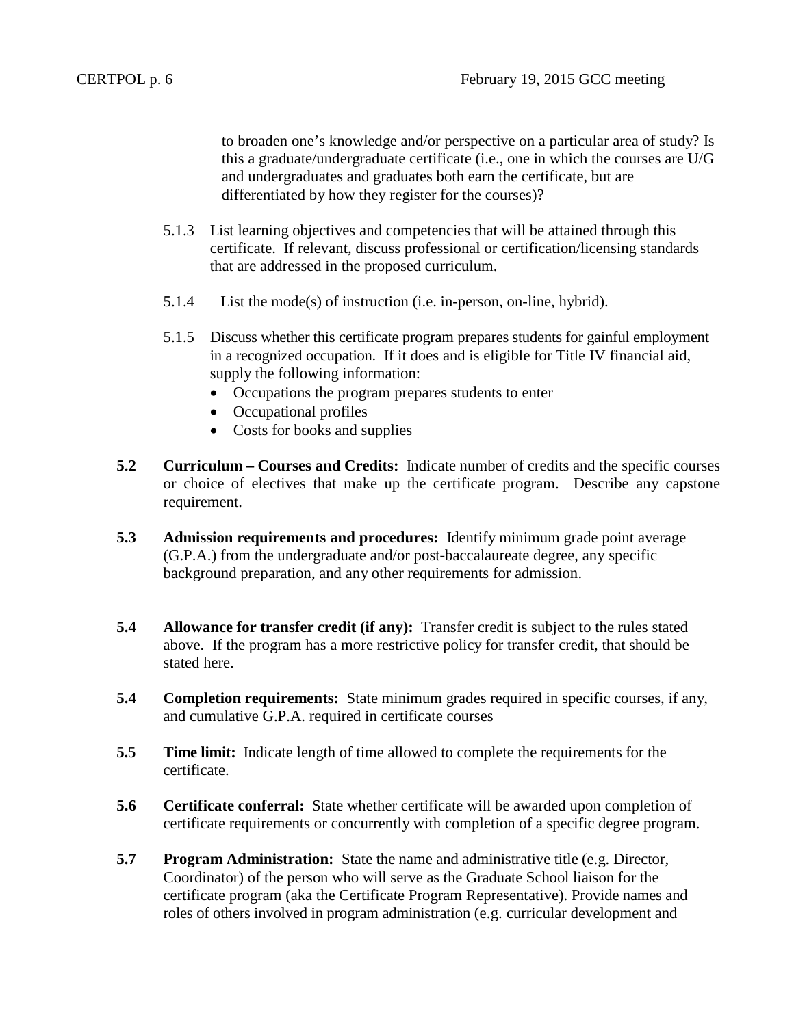to broaden one's knowledge and/or perspective on a particular area of study? Is this a graduate/undergraduate certificate (i.e., one in which the courses are U/G and undergraduates and graduates both earn the certificate, but are differentiated by how they register for the courses)?

- 5.1.3 List learning objectives and competencies that will be attained through this certificate. If relevant, discuss professional or certification/licensing standards that are addressed in the proposed curriculum.
- 5.1.4 List the mode(s) of instruction (i.e. in-person, on-line, hybrid).
- 5.1.5 Discuss whether this certificate program prepares students for gainful employment in a recognized occupation. If it does and is eligible for Title IV financial aid, supply the following information:
	- Occupations the program prepares students to enter
	- Occupational profiles
	- Costs for books and supplies
- **5.2 Curriculum – Courses and Credits:** Indicate number of credits and the specific courses or choice of electives that make up the certificate program. Describe any capstone requirement.
- **5.3 Admission requirements and procedures:** Identify minimum grade point average (G.P.A.) from the undergraduate and/or post-baccalaureate degree, any specific background preparation, and any other requirements for admission.
- **5.4 Allowance for transfer credit (if any):** Transfer credit is subject to the rules stated above. If the program has a more restrictive policy for transfer credit, that should be stated here.
- **5.4 Completion requirements:** State minimum grades required in specific courses, if any, and cumulative G.P.A. required in certificate courses
- **5.5 Time limit:** Indicate length of time allowed to complete the requirements for the certificate.
- **5.6 Certificate conferral:** State whether certificate will be awarded upon completion of certificate requirements or concurrently with completion of a specific degree program.
- **5.7 Program Administration:** State the name and administrative title (e.g. Director, Coordinator) of the person who will serve as the Graduate School liaison for the certificate program (aka the Certificate Program Representative). Provide names and roles of others involved in program administration (e.g. curricular development and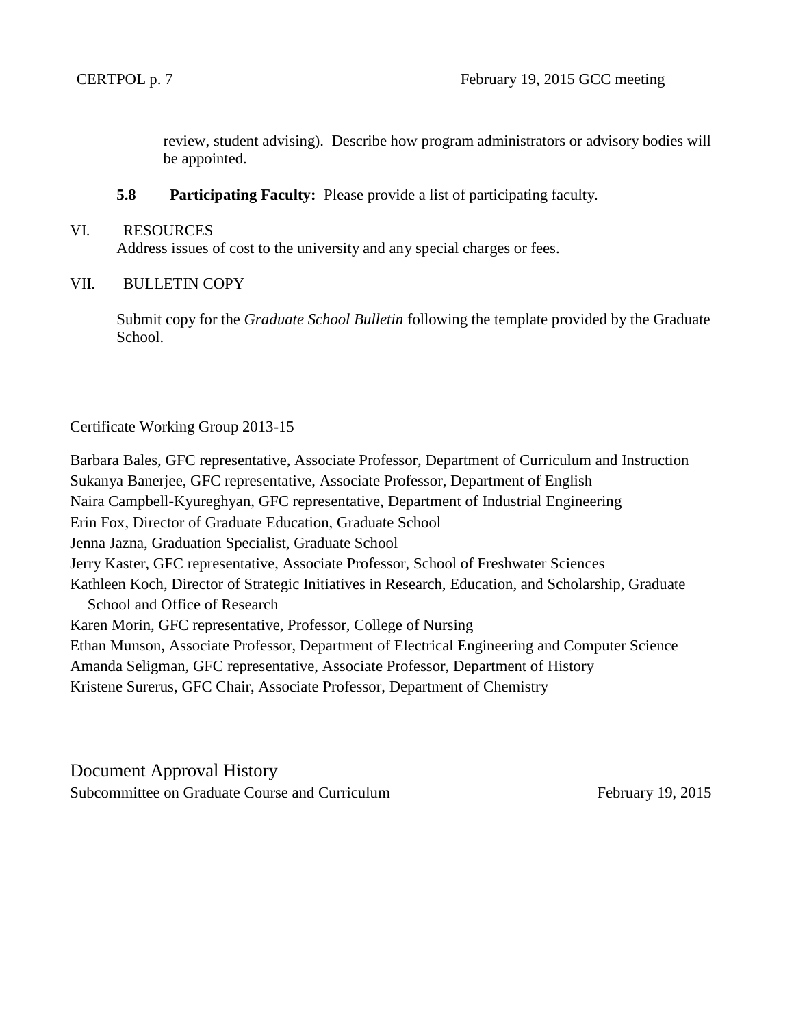review, student advising). Describe how program administrators or advisory bodies will be appointed.

**5.8 Participating Faculty:** Please provide a list of participating faculty.

### VI. RESOURCES

Address issues of cost to the university and any special charges or fees.

# VII. BULLETIN COPY

Submit copy for the *Graduate School Bulletin* following the template provided by the Graduate School.

# Certificate Working Group 2013-15

Barbara Bales, GFC representative, Associate Professor, Department of Curriculum and Instruction Sukanya Banerjee, GFC representative, Associate Professor, Department of English Naira Campbell-Kyureghyan, GFC representative, Department of Industrial Engineering Erin Fox, Director of Graduate Education, Graduate School Jenna Jazna, Graduation Specialist, Graduate School Jerry Kaster, GFC representative, Associate Professor, School of Freshwater Sciences Kathleen Koch, Director of Strategic Initiatives in Research, Education, and Scholarship, Graduate School and Office of Research Karen Morin, GFC representative, Professor, College of Nursing Ethan Munson, Associate Professor, Department of Electrical Engineering and Computer Science Amanda Seligman, GFC representative, Associate Professor, Department of History Kristene Surerus, GFC Chair, Associate Professor, Department of Chemistry

Document Approval History Subcommittee on Graduate Course and Curriculum February 19, 2015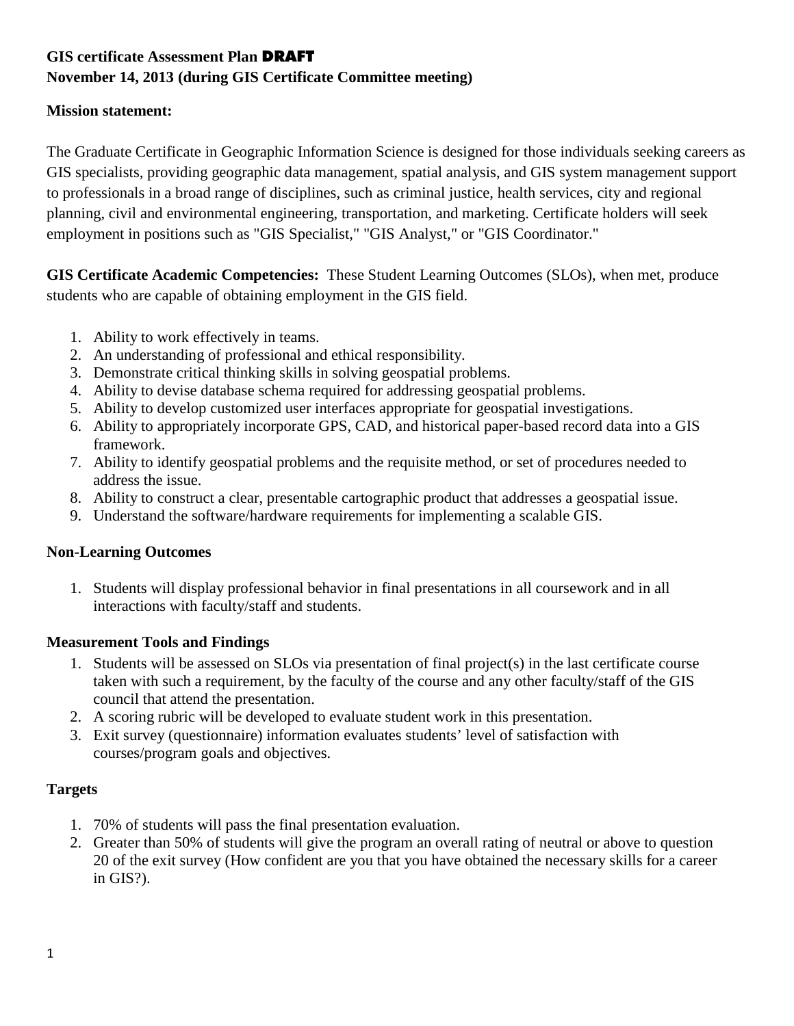# **GIS certificate Assessment Plan** DRAFT

# **November 14, 2013 (during GIS Certificate Committee meeting)**

# **Mission statement:**

The Graduate Certificate in Geographic Information Science is designed for those individuals seeking careers as GIS specialists, providing geographic data management, spatial analysis, and GIS system management support to professionals in a broad range of disciplines, such as criminal justice, health services, city and regional planning, civil and environmental engineering, transportation, and marketing. Certificate holders will seek employment in positions such as "GIS Specialist," "GIS Analyst," or "GIS Coordinator."

**GIS Certificate Academic Competencies:** These Student Learning Outcomes (SLOs), when met, produce students who are capable of obtaining employment in the GIS field.

- 1. Ability to work effectively in teams.
- 2. An understanding of professional and ethical responsibility.
- 3. Demonstrate critical thinking skills in solving geospatial problems.
- 4. Ability to devise database schema required for addressing geospatial problems.
- 5. Ability to develop customized user interfaces appropriate for geospatial investigations.
- 6. Ability to appropriately incorporate GPS, CAD, and historical paper-based record data into a GIS framework.
- 7. Ability to identify geospatial problems and the requisite method, or set of procedures needed to address the issue.
- 8. Ability to construct a clear, presentable cartographic product that addresses a geospatial issue.
- 9. Understand the software/hardware requirements for implementing a scalable GIS.

# **Non-Learning Outcomes**

1. Students will display professional behavior in final presentations in all coursework and in all interactions with faculty/staff and students.

# **Measurement Tools and Findings**

- 1. Students will be assessed on SLOs via presentation of final project(s) in the last certificate course taken with such a requirement, by the faculty of the course and any other faculty/staff of the GIS council that attend the presentation.
- 2. A scoring rubric will be developed to evaluate student work in this presentation.
- 3. Exit survey (questionnaire) information evaluates students' level of satisfaction with courses/program goals and objectives.

# **Targets**

- 1. 70% of students will pass the final presentation evaluation.
- 2. Greater than 50% of students will give the program an overall rating of neutral or above to question 20 of the exit survey (How confident are you that you have obtained the necessary skills for a career in GIS?).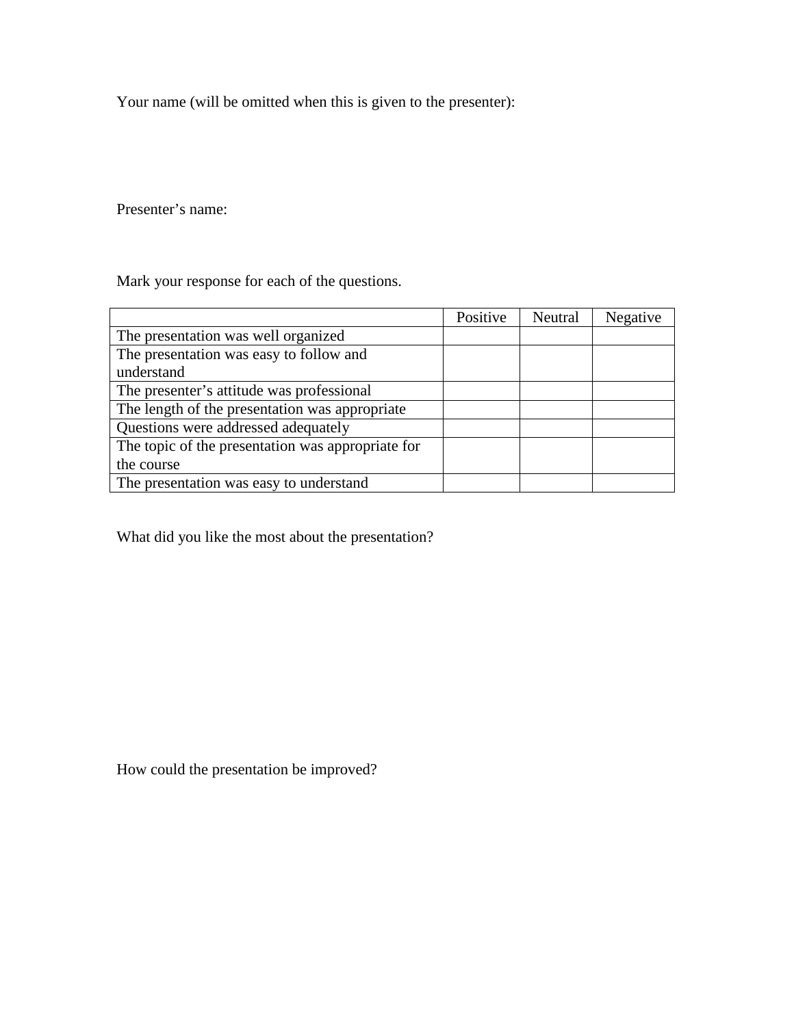Your name (will be omitted when this is given to the presenter):

Presenter's name:

Mark your response for each of the questions.

|                                                   | Positive | Neutral | Negative |
|---------------------------------------------------|----------|---------|----------|
| The presentation was well organized               |          |         |          |
| The presentation was easy to follow and           |          |         |          |
| understand                                        |          |         |          |
| The presenter's attitude was professional         |          |         |          |
| The length of the presentation was appropriate    |          |         |          |
| Questions were addressed adequately               |          |         |          |
| The topic of the presentation was appropriate for |          |         |          |
| the course                                        |          |         |          |
| The presentation was easy to understand           |          |         |          |

What did you like the most about the presentation?

How could the presentation be improved?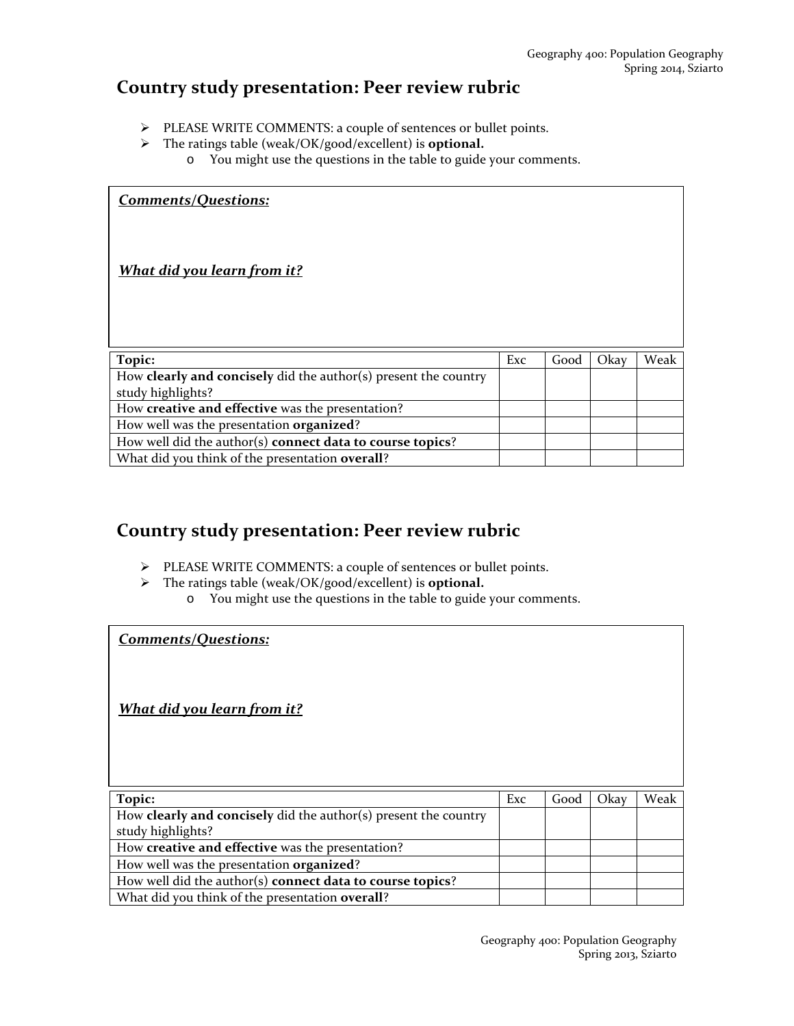# **Country study presentation: Peer review rubric**

- PLEASE WRITE COMMENTS: a couple of sentences or bullet points.
- The ratings table (weak/OK/good/excellent) is **optional.**
	- o You might use the questions in the table to guide your comments.

| <b>Comments/Questions:</b>                                                 |     |      |      |      |
|----------------------------------------------------------------------------|-----|------|------|------|
| <u>What did you learn from it?</u>                                         |     |      |      |      |
| Topic:                                                                     | Exc | Good | Okay | Weak |
| How <b>clearly and concisely</b> did the author( $s$ ) present the country |     |      |      |      |
| study highlights?                                                          |     |      |      |      |
| How creative and effective was the presentation?                           |     |      |      |      |
| How well was the presentation organized?                                   |     |      |      |      |
| How well did the author(s) connect data to course topics?                  |     |      |      |      |
| What did you think of the presentation overall?                            |     |      |      |      |

# **Country study presentation: Peer review rubric**

- PLEASE WRITE COMMENTS: a couple of sentences or bullet points.
- The ratings table (weak/OK/good/excellent) is **optional.**
	- o You might use the questions in the table to guide your comments.

**Topic:**  $\begin{bmatrix} \text{Exc} \\ \text{Good} \end{bmatrix}$  Oxay | Weak How **clearly and concisely** did the author(s) present the country study highlights? How **creative and effective** was the presentation? How well was the presentation **organized**? How well did the author(s) **connect data to course topics**? What did you think of the presentation **overall**? *Comments/Questions: What did you learn from it?*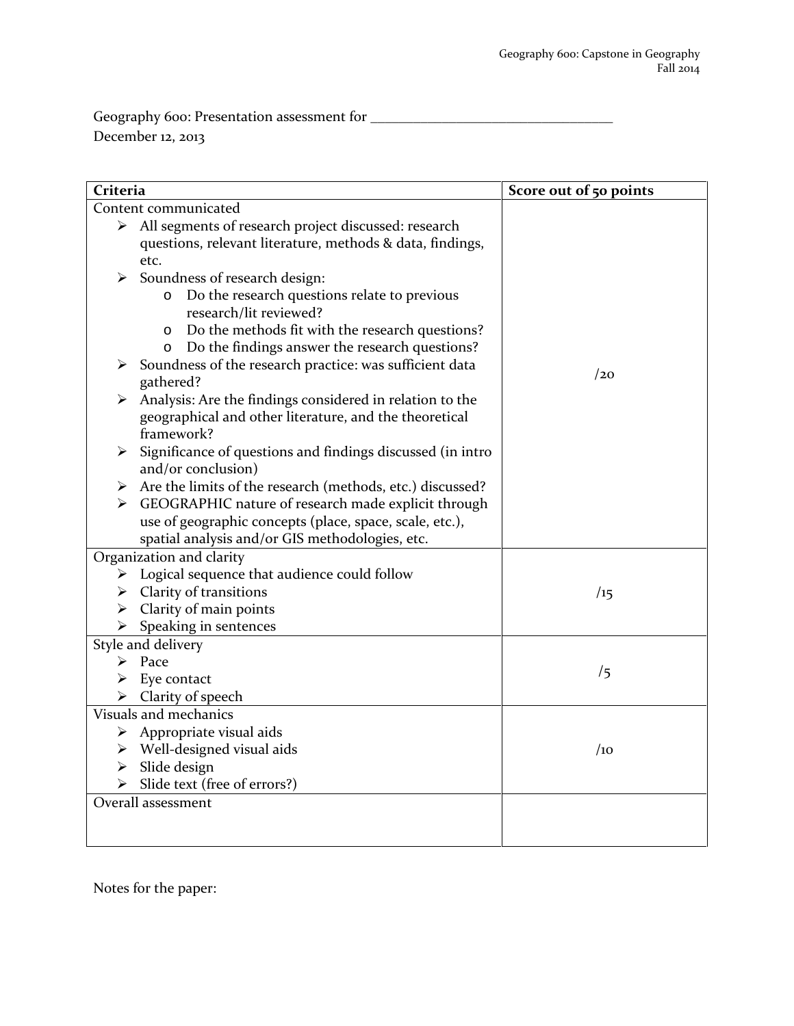Geography 600: Presentation assessment for \_\_\_\_\_\_\_\_\_\_\_\_\_\_\_\_\_\_\_\_\_\_\_\_\_\_\_\_\_\_\_\_\_\_ December 12, 2013

| Criteria              |                                                                                   | Score out of 50 points |
|-----------------------|-----------------------------------------------------------------------------------|------------------------|
|                       | Content communicated                                                              |                        |
|                       | > All segments of research project discussed: research                            |                        |
|                       | questions, relevant literature, methods & data, findings,                         |                        |
|                       | etc.                                                                              |                        |
| ➤                     | Soundness of research design:                                                     |                        |
|                       | Do the research questions relate to previous<br>$\circ$<br>research/lit reviewed? |                        |
|                       | Do the methods fit with the research questions?<br>$\circ$                        |                        |
|                       | Do the findings answer the research questions?<br>O                               |                        |
| ➤                     | Soundness of the research practice: was sufficient data                           |                        |
|                       | gathered?                                                                         | /20                    |
| ➤                     | Analysis: Are the findings considered in relation to the                          |                        |
|                       | geographical and other literature, and the theoretical                            |                        |
|                       | framework?                                                                        |                        |
| ➤                     | Significance of questions and findings discussed (in intro                        |                        |
|                       | and/or conclusion)                                                                |                        |
|                       | Are the limits of the research (methods, etc.) discussed?                         |                        |
| ➤                     | GEOGRAPHIC nature of research made explicit through                               |                        |
|                       | use of geographic concepts (place, space, scale, etc.),                           |                        |
|                       | spatial analysis and/or GIS methodologies, etc.                                   |                        |
|                       | Organization and clarity                                                          |                        |
|                       | $\triangleright$ Logical sequence that audience could follow                      |                        |
|                       | $\triangleright$ Clarity of transitions                                           | /15                    |
|                       | $\triangleright$ Clarity of main points                                           |                        |
| $\blacktriangleright$ | Speaking in sentences                                                             |                        |
|                       | Style and delivery                                                                |                        |
| ➤                     | Pace                                                                              | /5                     |
|                       | Eye contact                                                                       |                        |
|                       | $\triangleright$ Clarity of speech                                                |                        |
|                       | Visuals and mechanics                                                             |                        |
| ➤                     | Appropriate visual aids                                                           |                        |
|                       | $\triangleright$ Well-designed visual aids                                        | /10                    |
|                       | $\triangleright$ Slide design                                                     |                        |
|                       | Slide text (free of errors?)                                                      |                        |
|                       | Overall assessment                                                                |                        |
|                       |                                                                                   |                        |
|                       |                                                                                   |                        |

Notes for the paper: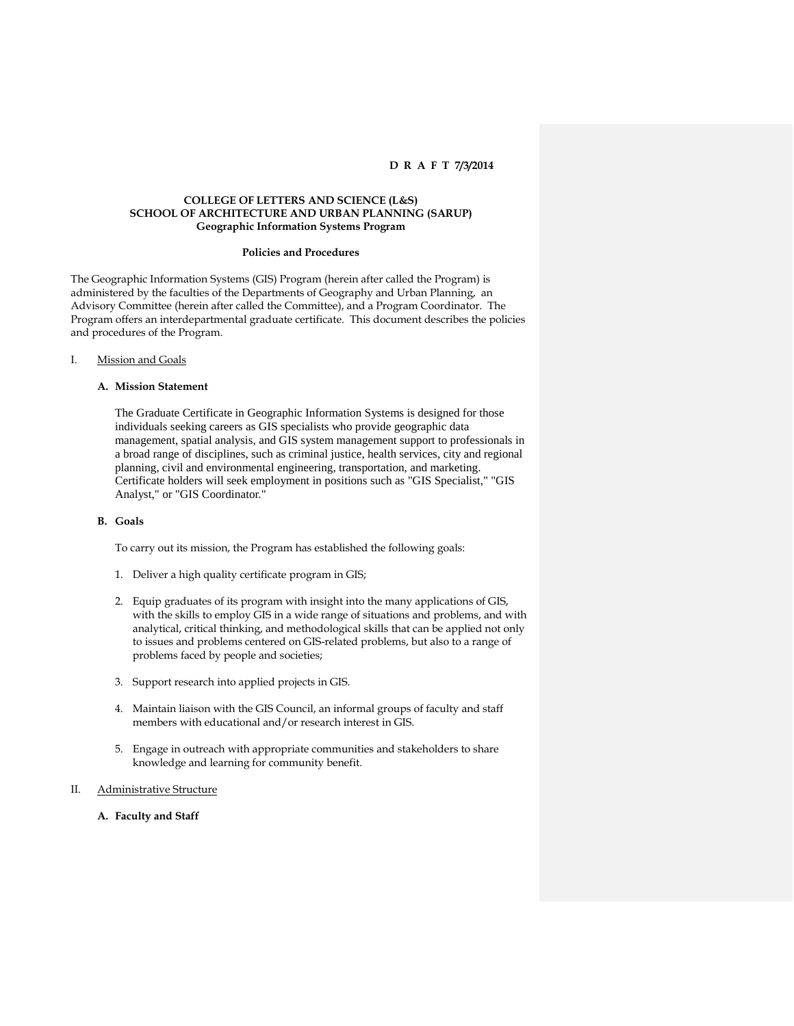#### **COLLEGE OF LETTERS AND SCIENCE (L&S) SCHOOL OF ARCHITECTURE AND URBAN PLANNING (SARUP) Geographic Information Systems Program**

#### **Policies and Procedures**

The Geographic Information Systems (GIS) Program (herein after called the Program) is administered by the faculties of the Departments of Geography and Urban Planning, an Advisory Committee (herein after called the Committee), and a Program Coordinator. The Program offers an interdepartmental graduate certificate. This document describes the policies and procedures of the Program.

#### I. Mission and Goals

#### **A. Mission Statement**

The Graduate Certificate in Geographic Information Systems is designed for those individuals seeking careers as GIS specialists who provide geographic data management, spatial analysis, and GIS system management support to professionals in a broad range of disciplines, such as criminal justice, health services, city and regional planning, civil and environmental engineering, transportation, and marketing. Certificate holders will seek employment in positions such as "GIS Specialist," "GIS Analyst," or "GIS Coordinator."

#### **B. Goals**

To carry out its mission, the Program has established the following goals:

- 1. Deliver a high quality certificate program in GIS;
- 2. Equip graduates of its program with insight into the many applications of GIS, with the skills to employ GIS in a wide range of situations and problems, and with analytical, critical thinking, and methodological skills that can be applied not only to issues and problems centered on GIS-related problems, but also to a range of problems faced by people and societies;
- 3. Support research into applied projects in GIS.
- 4. Maintain liaison with the GIS Council, an informal groups of faculty and staff members with educational and/or research interest in GIS.
- 5. Engage in outreach with appropriate communities and stakeholders to share knowledge and learning for community benefit.
- II. Administrative Structure
	- **A. Faculty and Staff**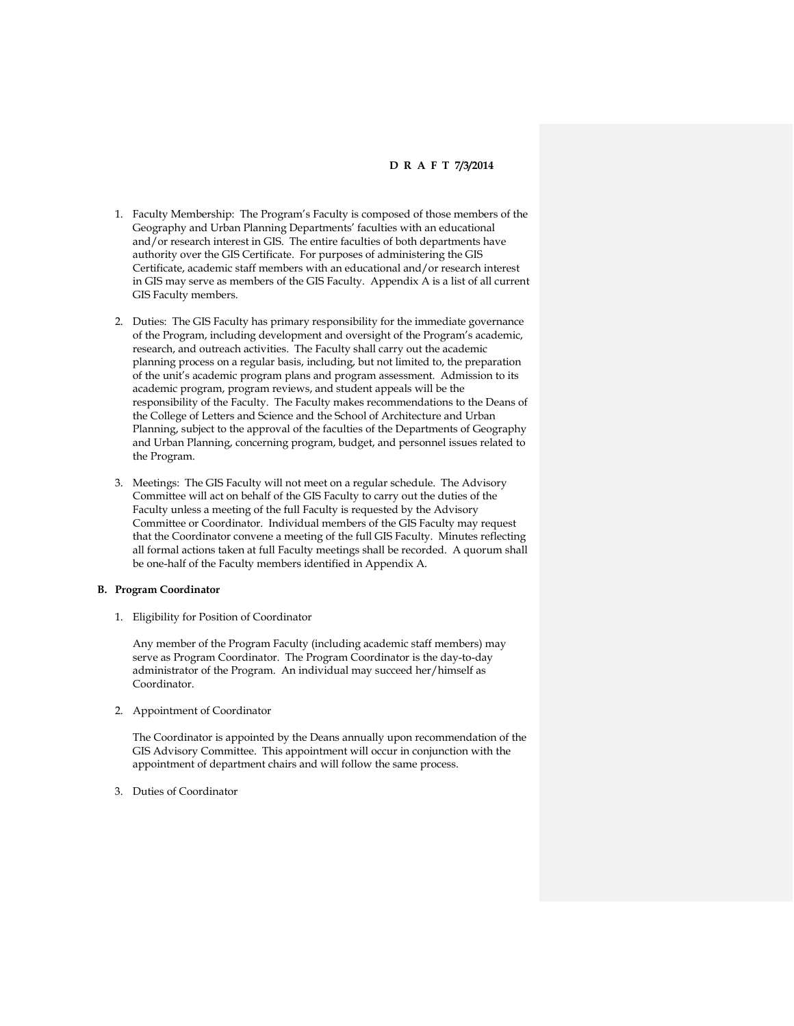- 1. Faculty Membership: The Program's Faculty is composed of those members of the Geography and Urban Planning Departments' faculties with an educational and/or research interest in GIS. The entire faculties of both departments have authority over the GIS Certificate. For purposes of administering the GIS Certificate, academic staff members with an educational and/or research interest in GIS may serve as members of the GIS Faculty. Appendix A is a list of all current GIS Faculty members.
- 2. Duties: The GIS Faculty has primary responsibility for the immediate governance of the Program, including development and oversight of the Program's academic, research, and outreach activities. The Faculty shall carry out the academic planning process on a regular basis, including, but not limited to, the preparation of the unit's academic program plans and program assessment. Admission to its academic program, program reviews, and student appeals will be the responsibility of the Faculty. The Faculty makes recommendations to the Deans of the College of Letters and Science and the School of Architecture and Urban Planning, subject to the approval of the faculties of the Departments of Geography and Urban Planning, concerning program, budget, and personnel issues related to the Program.
- 3. Meetings: The GIS Faculty will not meet on a regular schedule. The Advisory Committee will act on behalf of the GIS Faculty to carry out the duties of the Faculty unless a meeting of the full Faculty is requested by the Advisory Committee or Coordinator. Individual members of the GIS Faculty may request that the Coordinator convene a meeting of the full GIS Faculty. Minutes reflecting all formal actions taken at full Faculty meetings shall be recorded. A quorum shall be one-half of the Faculty members identified in Appendix A.

#### **B. Program Coordinator**

1. Eligibility for Position of Coordinator

Any member of the Program Faculty (including academic staff members) may serve as Program Coordinator. The Program Coordinator is the day-to-day administrator of the Program. An individual may succeed her/himself as Coordinator.

2. Appointment of Coordinator

The Coordinator is appointed by the Deans annually upon recommendation of the GIS Advisory Committee. This appointment will occur in conjunction with the appointment of department chairs and will follow the same process.

3. Duties of Coordinator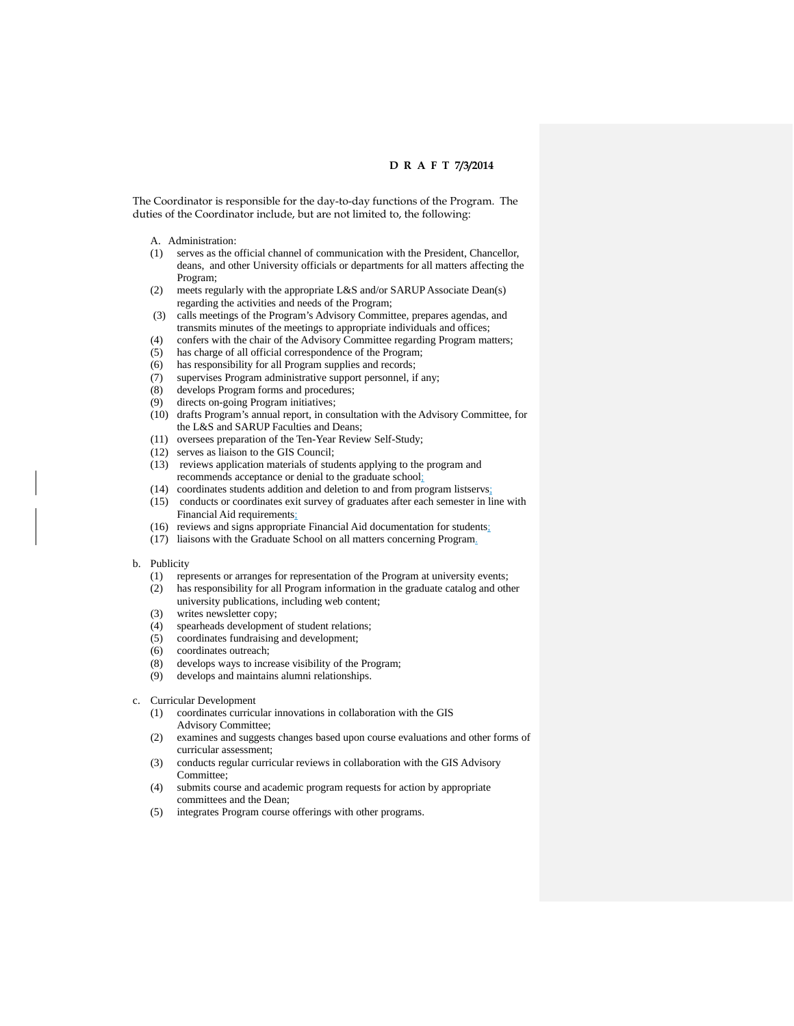The Coordinator is responsible for the day-to-day functions of the Program. The duties of the Coordinator include, but are not limited to, the following:

- A. Administration:
- (1) serves as the official channel of communication with the President, Chancellor, deans, and other University officials or departments for all matters affecting the Program;
- (2) meets regularly with the appropriate L&S and/or SARUP Associate Dean(s) regarding the activities and needs of the Program;
- (3) calls meetings of the Program's Advisory Committee, prepares agendas, and transmits minutes of the meetings to appropriate individuals and offices;
- (4) confers with the chair of the Advisory Committee regarding Program matters;
- (5) has charge of all official correspondence of the Program;
- (6) has responsibility for all Program supplies and records;<br>(7) supervises Program administrative support personnel, if
- supervises Program administrative support personnel, if any;
- (8) develops Program forms and procedures;
- (9) directs on-going Program initiatives;
- (10) drafts Program's annual report, in consultation with the Advisory Committee, for the L&S and SARUP Faculties and Deans;
- (11) oversees preparation of the Ten-Year Review Self-Study;
- (12) serves as liaison to the GIS Council;
- (13) reviews application materials of students applying to the program and recommends acceptance or denial to the graduate school;
- (14) coordinates students addition and deletion to and from program listservs;
- (15) conducts or coordinates exit survey of graduates after each semester in line with Financial Aid requirements;
- (16) reviews and signs appropriate Financial Aid documentation for students;
- (17) liaisons with the Graduate School on all matters concerning Program.

#### b. Publicity

- (1) represents or arranges for representation of the Program at university events;
- (2) has responsibility for all Program information in the graduate catalog and other university publications, including web content;
- (3) writes newsletter copy;
- (4) spearheads development of student relations;
- (5) coordinates fundraising and development;
- (6) coordinates outreach;<br>(8) develops ways to incre
- (8) develops ways to increase visibility of the Program;<br>(9) develops and maintains alumni relationships.
- develops and maintains alumni relationships.
- c. Curricular Development
	- (1) coordinates curricular innovations in collaboration with the GIS Advisory Committee;
	- (2) examines and suggests changes based upon course evaluations and other forms of curricular assessment;
	- (3) conducts regular curricular reviews in collaboration with the GIS Advisory Committee;
	- (4) submits course and academic program requests for action by appropriate committees and the Dean;
	- (5) integrates Program course offerings with other programs.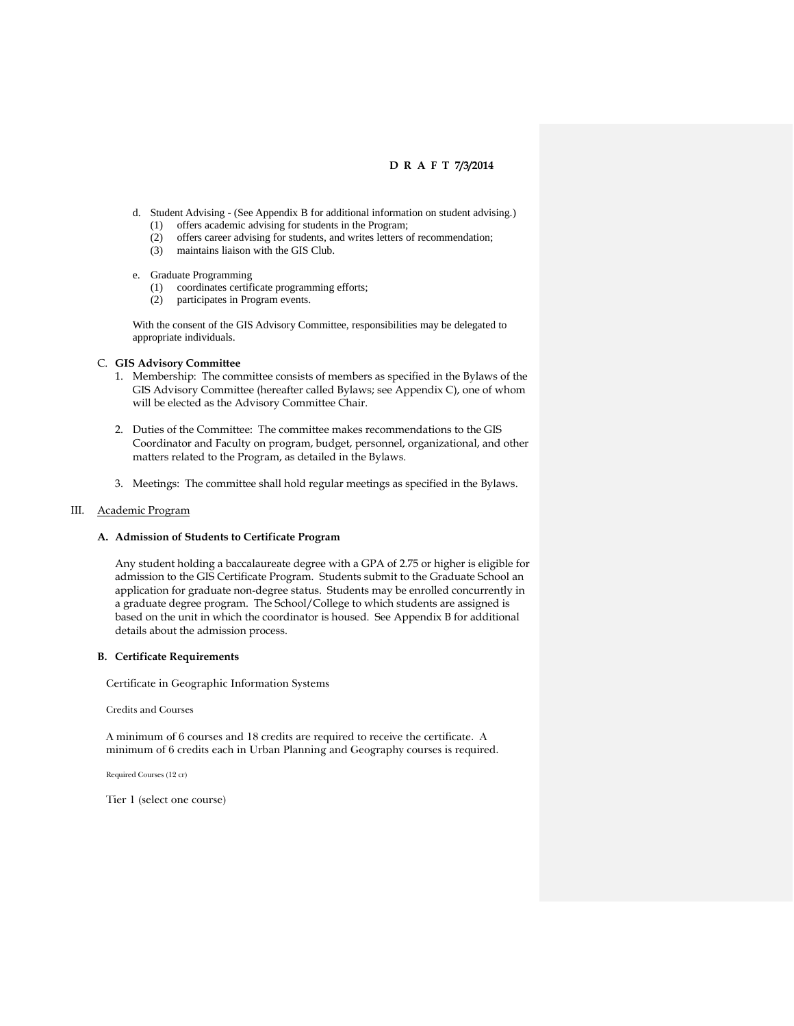- d. Student Advising (See Appendix B for additional information on student advising.) (1) offers academic advising for students in the Program;
	- (2) offers career advising for students, and writes letters of recommendation;
	- maintains liaison with the GIS Club.

#### e. Graduate Programming

- (1) coordinates certificate programming efforts;
- (2) participates in Program events.

With the consent of the GIS Advisory Committee, responsibilities may be delegated to appropriate individuals.

#### C. **GIS Advisory Committee**

- 1. Membership: The committee consists of members as specified in the Bylaws of the GIS Advisory Committee (hereafter called Bylaws; see Appendix C), one of whom will be elected as the Advisory Committee Chair.
- 2. Duties of the Committee: The committee makes recommendations to the GIS Coordinator and Faculty on program, budget, personnel, organizational, and other matters related to the Program, as detailed in the Bylaws.
- 3. Meetings: The committee shall hold regular meetings as specified in the Bylaws.

#### III. Academic Program

#### **A. Admission of Students to Certificate Program**

Any student holding a baccalaureate degree with a GPA of 2.75 or higher is eligible for admission to the GIS Certificate Program. Students submit to the Graduate School an application for graduate non-degree status. Students may be enrolled concurrently in a graduate degree program. The School/College to which students are assigned is based on the unit in which the coordinator is housed. See Appendix B for additional details about the admission process.

#### **B. Certificate Requirements**

Certificate in Geographic Information Systems

Credits and Courses

A minimum of 6 courses and 18 credits are required to receive the certificate. A minimum of 6 credits each in Urban Planning and Geography courses is required.

Required Courses (12 cr)

Tier 1 (select one course)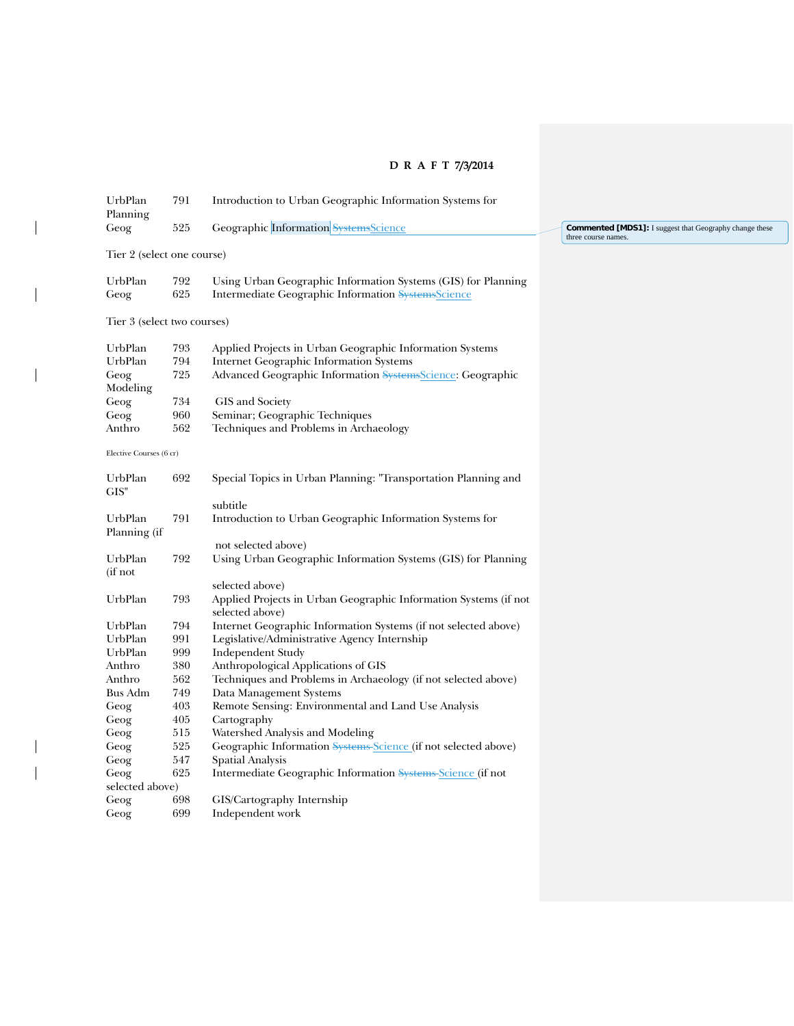$\overline{\phantom{a}}$ 

 $\overline{\phantom{a}}$ 

 $\overline{\phantom{a}}$ 

| UrbPlan<br>Planning         | 791        | Introduction to Urban Geographic Information Systems for                                                            |                                                                                       |
|-----------------------------|------------|---------------------------------------------------------------------------------------------------------------------|---------------------------------------------------------------------------------------|
| Geog                        | 525        | Geographic Information SystemsScience                                                                               | <b>Commented [MDS1]:</b> I suggest that Geography change these<br>three course names. |
| Tier 2 (select one course)  |            |                                                                                                                     |                                                                                       |
| UrbPlan<br>Geog             | 792<br>625 | Using Urban Geographic Information Systems (GIS) for Planning<br>Intermediate Geographic Information SystemsScience |                                                                                       |
| Tier 3 (select two courses) |            |                                                                                                                     |                                                                                       |
| UrbPlan                     | 793        | Applied Projects in Urban Geographic Information Systems                                                            |                                                                                       |
| UrbPlan                     | 794        | Internet Geographic Information Systems                                                                             |                                                                                       |
| Geog                        | 725        | Advanced Geographic Information SystemsScience: Geographic                                                          |                                                                                       |
| Modeling                    |            |                                                                                                                     |                                                                                       |
| Geog                        | 734        | GIS and Society                                                                                                     |                                                                                       |
| Geog                        | 960        | Seminar; Geographic Techniques                                                                                      |                                                                                       |
| Anthro                      | 562        | Techniques and Problems in Archaeology                                                                              |                                                                                       |
| Elective Courses (6 cr)     |            |                                                                                                                     |                                                                                       |
| UrbPlan<br>GIS"             | 692        | Special Topics in Urban Planning: "Transportation Planning and                                                      |                                                                                       |
|                             |            | subtitle                                                                                                            |                                                                                       |
| UrbPlan<br>Planning (if     | 791        | Introduction to Urban Geographic Information Systems for                                                            |                                                                                       |
|                             |            | not selected above)                                                                                                 |                                                                                       |
| UrbPlan<br>(if not          | 792        | Using Urban Geographic Information Systems (GIS) for Planning                                                       |                                                                                       |
|                             |            | selected above)                                                                                                     |                                                                                       |
| UrbPlan                     | 793        | Applied Projects in Urban Geographic Information Systems (if not<br>selected above)                                 |                                                                                       |
| UrbPlan                     | 794        | Internet Geographic Information Systems (if not selected above)                                                     |                                                                                       |
| UrbPlan                     | 991        | Legislative/Administrative Agency Internship                                                                        |                                                                                       |
| UrbPlan                     | 999        | Independent Study                                                                                                   |                                                                                       |
| Anthro                      | 380        | Anthropological Applications of GIS                                                                                 |                                                                                       |
| Anthro                      | 562        | Techniques and Problems in Archaeology (if not selected above)                                                      |                                                                                       |
| Bus Adm                     | 749        | Data Management Systems                                                                                             |                                                                                       |
| Geog                        | 403        | Remote Sensing: Environmental and Land Use Analysis                                                                 |                                                                                       |
| Geog                        | 405        | Cartography                                                                                                         |                                                                                       |
| Geog                        | 515        | Watershed Analysis and Modeling                                                                                     |                                                                                       |
| Geog                        | 525        | Geographic Information Systems Science (if not selected above)                                                      |                                                                                       |
| Geog                        | 547        | <b>Spatial Analysis</b>                                                                                             |                                                                                       |
| Geog                        | 625        | Intermediate Geographic Information Systems Science (if not                                                         |                                                                                       |
| selected above)             |            |                                                                                                                     |                                                                                       |
| Geog                        | 698        | GIS/Cartography Internship                                                                                          |                                                                                       |
| Geog                        | 699        | Independent work                                                                                                    |                                                                                       |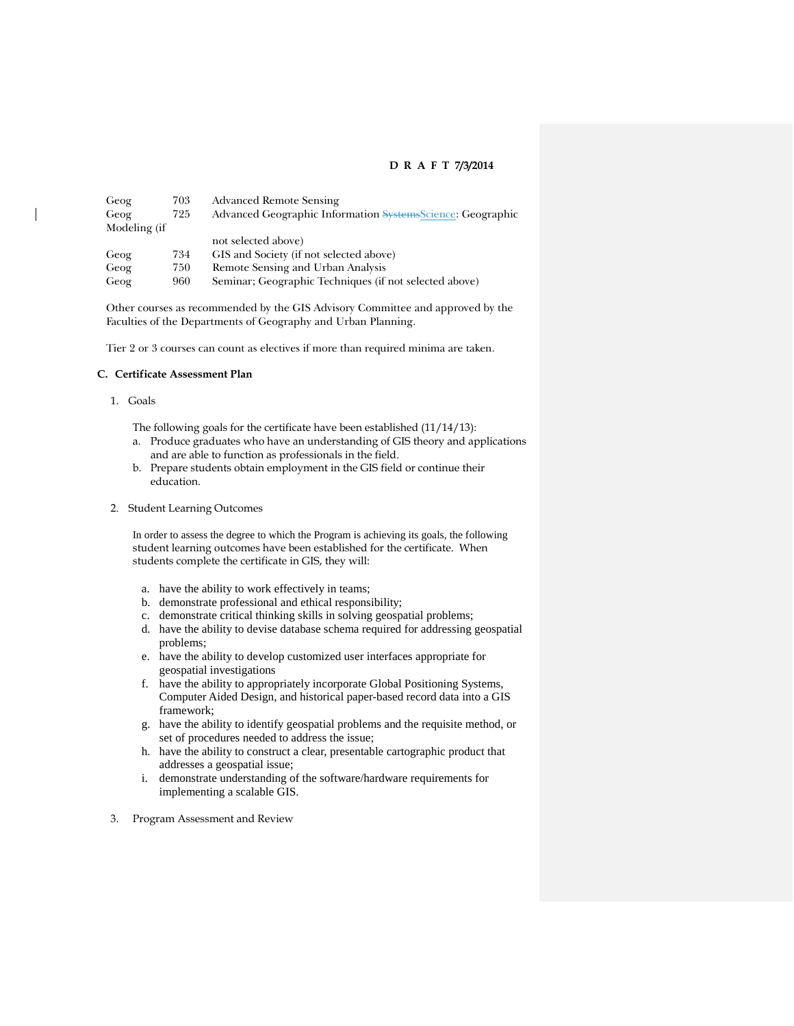| Geog         | 703 | <b>Advanced Remote Sensing</b>                             |
|--------------|-----|------------------------------------------------------------|
| Geog         | 725 | Advanced Geographic Information SystemsScience: Geographic |
| Modeling (if |     |                                                            |
|              |     | not selected above)                                        |
| Geog         | 734 | GIS and Society (if not selected above)                    |
| Geog         | 750 | Remote Sensing and Urban Analysis                          |
| Geog         | 960 | Seminar; Geographic Techniques (if not selected above)     |

Other courses as recommended by the GIS Advisory Committee and approved by the Faculties of the Departments of Geography and Urban Planning.

Tier 2 or 3 courses can count as electives if more than required minima are taken.

#### **C. Certificate Assessment Plan**

- 1. Goals
	- The following goals for the certificate have been established (11/14/13):
	- a. Produce graduates who have an understanding of GIS theory and applications and are able to function as professionals in the field.
	- b. Prepare students obtain employment in the GIS field or continue their education.
- 2. Student Learning Outcomes

In order to assess the degree to which the Program is achieving its goals, the following student learning outcomes have been established for the certificate. When students complete the certificate in GIS, they will:

- a. have the ability to work effectively in teams;
- b. demonstrate professional and ethical responsibility;
- c. demonstrate critical thinking skills in solving geospatial problems;
- d. have the ability to devise database schema required for addressing geospatial problems;
- e. have the ability to develop customized user interfaces appropriate for geospatial investigations
- f. have the ability to appropriately incorporate Global Positioning Systems, Computer Aided Design, and historical paper-based record data into a GIS framework;
- g. have the ability to identify geospatial problems and the requisite method, or set of procedures needed to address the issue;
- h. have the ability to construct a clear, presentable cartographic product that addresses a geospatial issue;
- i. demonstrate understanding of the software/hardware requirements for implementing a scalable GIS.
- 3. Program Assessment and Review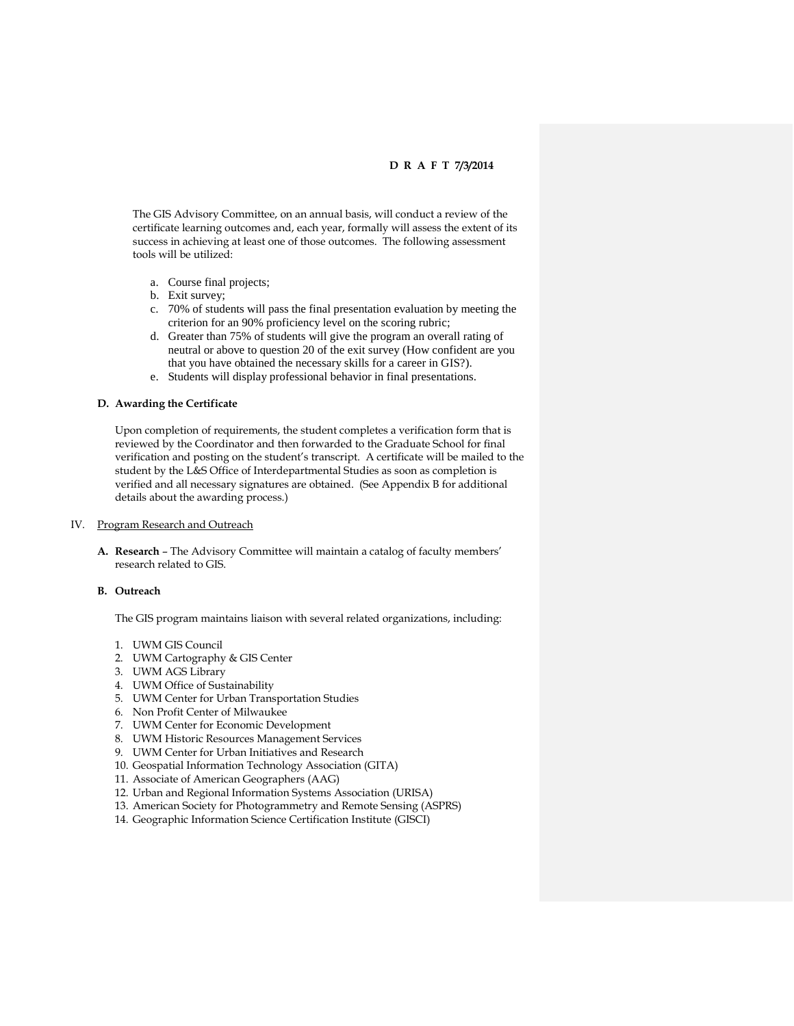The GIS Advisory Committee, on an annual basis, will conduct a review of the certificate learning outcomes and, each year, formally will assess the extent of its success in achieving at least one of those outcomes. The following assessment tools will be utilized:

- a. Course final projects;
- b. Exit survey;
- c. 70% of students will pass the final presentation evaluation by meeting the criterion for an 90% proficiency level on the scoring rubric;
- d. Greater than 75% of students will give the program an overall rating of neutral or above to question 20 of the exit survey (How confident are you that you have obtained the necessary skills for a career in GIS?).
- e. Students will display professional behavior in final presentations.

#### **D. Awarding the Certificate**

Upon completion of requirements, the student completes a verification form that is reviewed by the Coordinator and then forwarded to the Graduate School for final verification and posting on the student's transcript. A certificate will be mailed to the student by the L&S Office of Interdepartmental Studies as soon as completion is verified and all necessary signatures are obtained. (See Appendix B for additional details about the awarding process.)

#### IV. Program Research and Outreach

**A. Research** – The Advisory Committee will maintain a catalog of faculty members' research related to GIS.

#### **B. Outreach**

The GIS program maintains liaison with several related organizations, including:

- 1. UWM GIS Council
- 2. UWM Cartography & GIS Center
- 3. UWM AGS Library
- 4. UWM Office of Sustainability
- 5. UWM Center for Urban Transportation Studies
- 6. Non Profit Center of Milwaukee
- 7. UWM Center for Economic Development
- 8. UWM Historic Resources Management Services
- 9. UWM Center for Urban Initiatives and Research
- 10. Geospatial Information Technology Association (GITA)
- 11. Associate of American Geographers (AAG)
- 12. Urban and Regional Information Systems Association (URISA)
- 13. American Society for Photogrammetry and Remote Sensing (ASPRS)
- 14. Geographic Information Science Certification Institute (GISCI)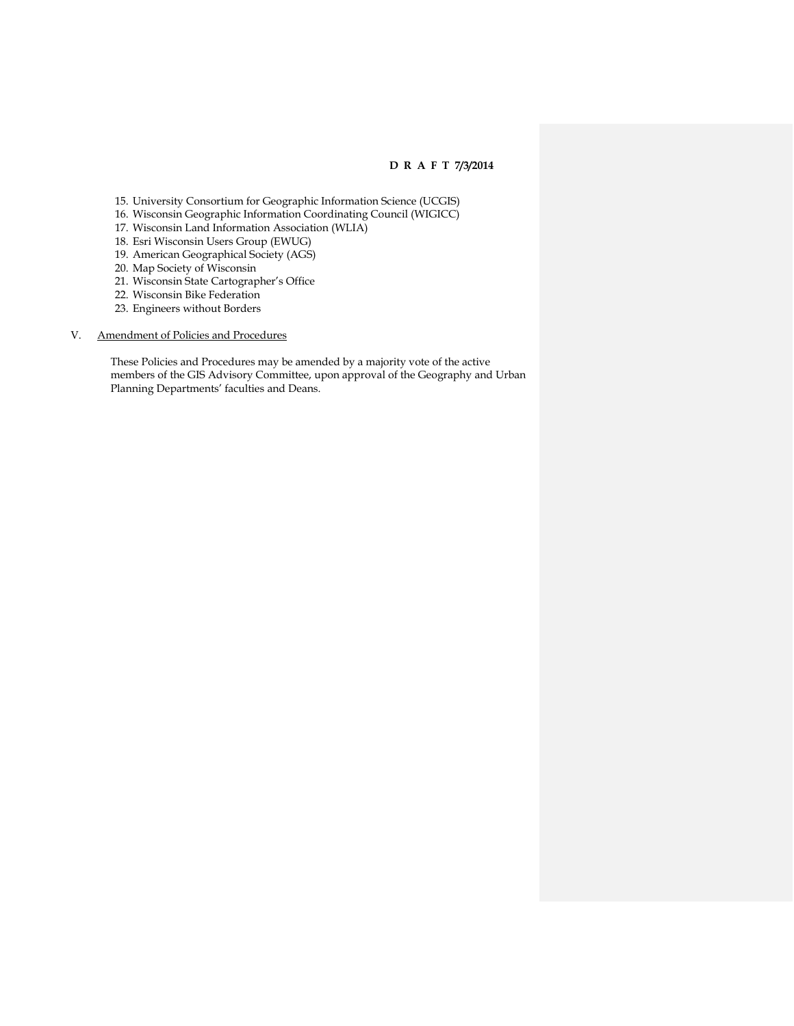- 15. University Consortium for Geographic Information Science (UCGIS)
- 16. Wisconsin Geographic Information Coordinating Council (WIGICC)
- 17. Wisconsin Land Information Association (WLIA)
- 18. Esri Wisconsin Users Group (EWUG)
- 19. American Geographical Society (AGS)
- 20. Map Society of Wisconsin
- 21. Wisconsin State Cartographer's Office
- 22. Wisconsin Bike Federation
- 23. Engineers without Borders

### V. Amendment of Policies and Procedures

These Policies and Procedures may be amended by a majority vote of the active members of the GIS Advisory Committee, upon approval of the Geography and Urban Planning Departments' faculties and Deans.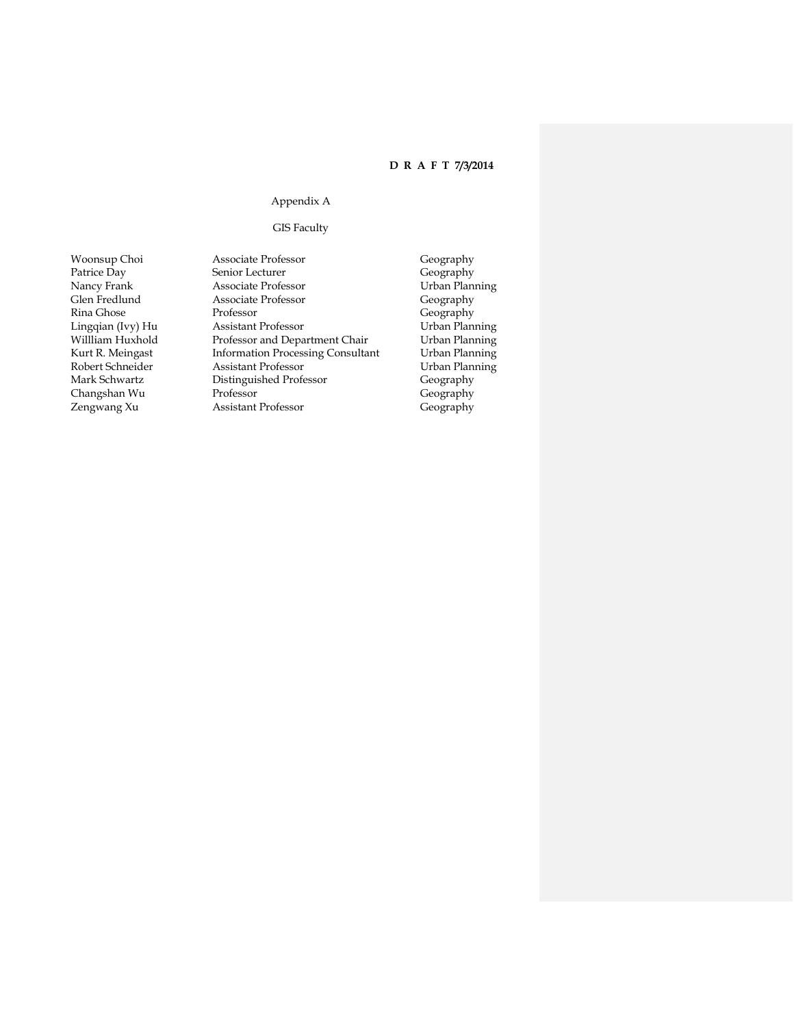### Appendix A

GIS Faculty

- Zengwang Xu Assistant Professor
- Woonsup Choi Associate Professor Geography Patrice Day Senior Lecturer (Geography Geography Nancy Frank Associate Professor (Geography Urban Planning Nancy Frank Associate Professor Urban Planning Clear Fredlund Associate Professor Ceography Glen Fredlund Associate Professor<br>Rina Ghose Professor Rina Ghose Professor Professor Geography<br>
Lingqian (Ivy) Hu Assistant Professor Urban Planning Lingqian (Ivy) Hu Assistant Professor Urban Planning Willliam Huxhold Professor and Department Chair Urban Planning<br>Kurt R. Meingast Information Processing Consultant Urban Planning Information Processing Consultant Robert Schneider **Assistant Professor** Urban Planning Mark Schwartz Distinguished Professor Geography Changshan Wu Professor Geography
	-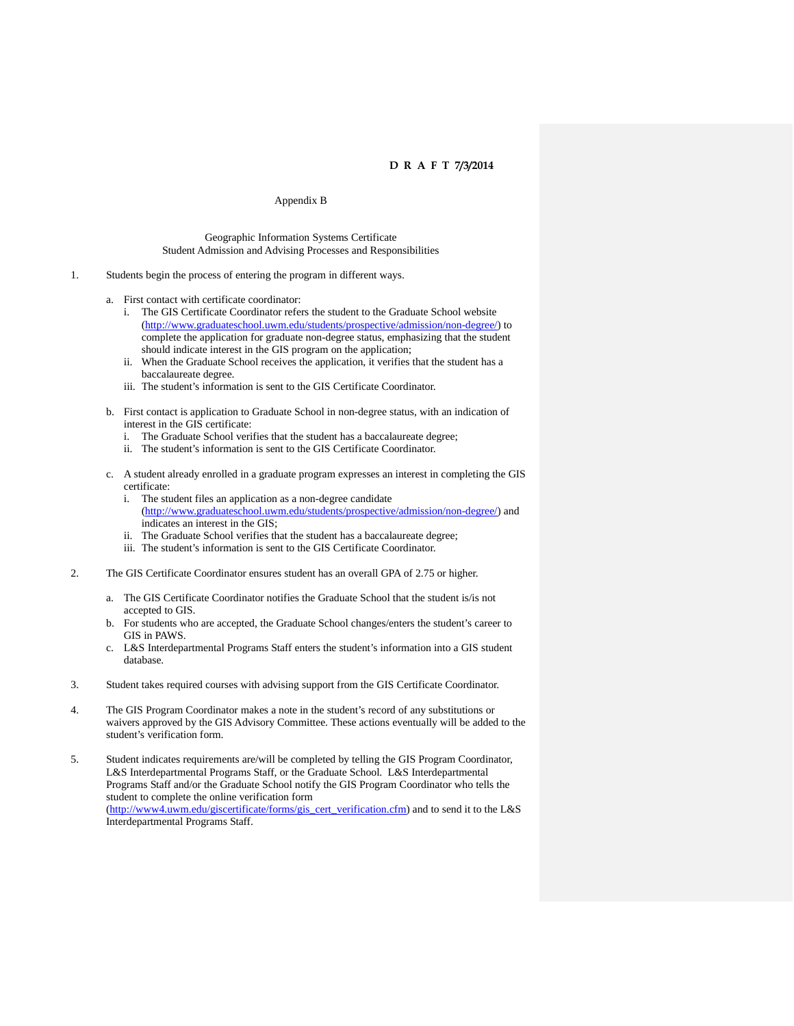#### Appendix B

#### Geographic Information Systems Certificate Student Admission and Advising Processes and Responsibilities

- 1. Students begin the process of entering the program in different ways.
	- a. First contact with certificate coordinator:
		- i. The GIS Certificate Coordinator refers the student to the Graduate School website [\(http://www.graduateschool.uwm.edu/students/prospective/admission/non-degree/\)](http://www.graduateschool.uwm.edu/students/prospective/admission/non-degree/) to complete the application for graduate non-degree status, emphasizing that the student should indicate interest in the GIS program on the application;
		- ii. When the Graduate School receives the application, it verifies that the student has a baccalaureate degree.
		- iii. The student's information is sent to the GIS Certificate Coordinator.
	- b. First contact is application to Graduate School in non-degree status, with an indication of interest in the GIS certificate:
		- i. The Graduate School verifies that the student has a baccalaureate degree;
		- ii. The student's information is sent to the GIS Certificate Coordinator.
	- c. A student already enrolled in a graduate program expresses an interest in completing the GIS certificate:
		- i. The student files an application as a non-degree candidate [\(http://www.graduateschool.uwm.edu/students/prospective/admission/non-degree/\)](http://www.graduateschool.uwm.edu/students/prospective/admission/non-degree/) and indicates an interest in the GIS;
		- ii. The Graduate School verifies that the student has a baccalaureate degree;
		- iii. The student's information is sent to the GIS Certificate Coordinator.
- 2. The GIS Certificate Coordinator ensures student has an overall GPA of 2.75 or higher.
	- a. The GIS Certificate Coordinator notifies the Graduate School that the student is/is not accepted to GIS.
	- b. For students who are accepted, the Graduate School changes/enters the student's career to GIS in PAWS.
	- c. L&S Interdepartmental Programs Staff enters the student's information into a GIS student database.
- 3. Student takes required courses with advising support from the GIS Certificate Coordinator.
- 4. The GIS Program Coordinator makes a note in the student's record of any substitutions or waivers approved by the GIS Advisory Committee. These actions eventually will be added to the student's verification form.
- 5. Student indicates requirements are/will be completed by telling the GIS Program Coordinator, L&S Interdepartmental Programs Staff, or the Graduate School. L&S Interdepartmental Programs Staff and/or the Graduate School notify the GIS Program Coordinator who tells the student to complete the online verification form [\(http://www4.uwm.edu/giscertificate/forms/gis\\_cert\\_verification.cfm\)](http://www4.uwm.edu/giscertificate/forms/gis_cert_verification.cfm) and to send it to the L&S Interdepartmental Programs Staff.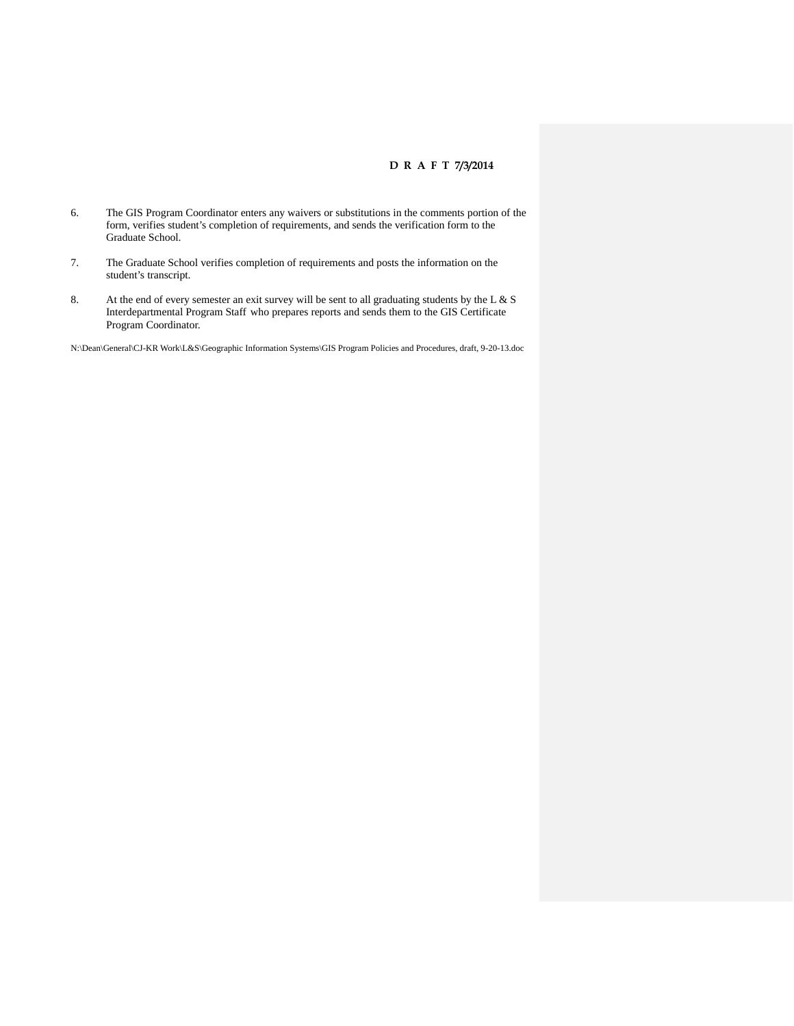- 6. The GIS Program Coordinator enters any waivers or substitutions in the comments portion of the form, verifies student's completion of requirements, and sends the verification form to the Graduate School.
- 7. The Graduate School verifies completion of requirements and posts the information on the student's transcript.
- 8. At the end of every semester an exit survey will be sent to all graduating students by the L & S Interdepartmental Program Staff who prepares reports and sends them to the GIS Certificate Program Coordinator.

N:\Dean\General\CJ-KR Work\L&S\Geographic Information Systems\GIS Program Policies and Procedures, draft, 9-20-13.doc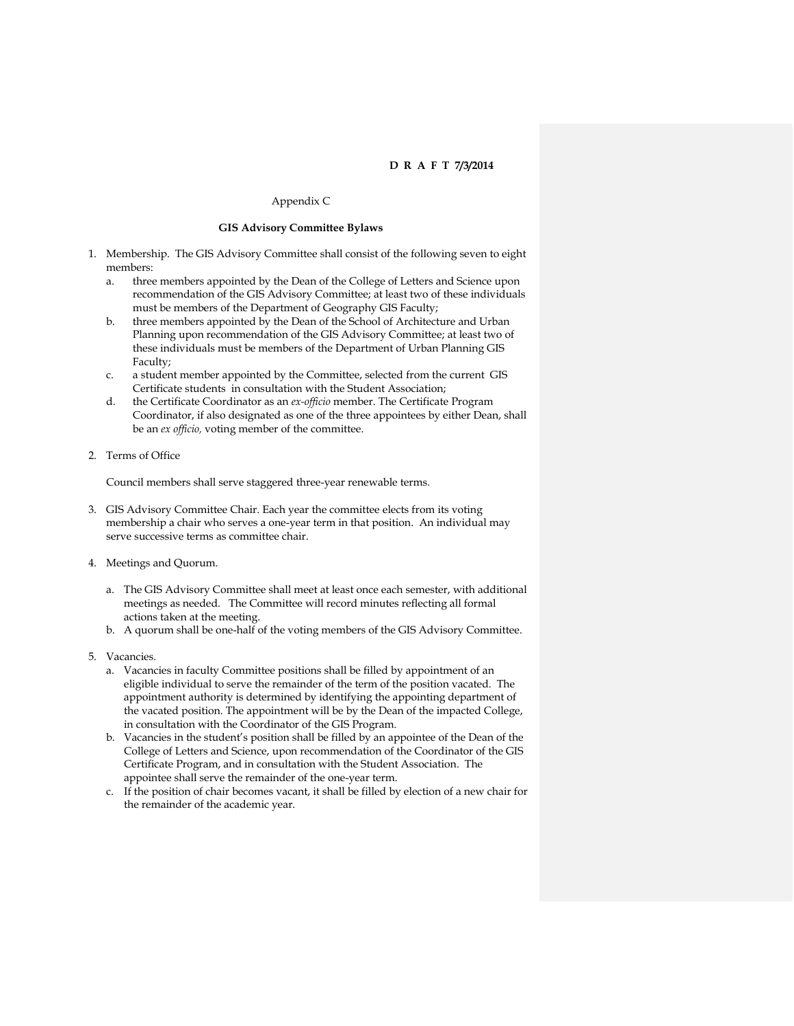### Appendix C

#### **GIS Advisory Committee Bylaws**

- 1. Membership. The GIS Advisory Committee shall consist of the following seven to eight members:
	- a. three members appointed by the Dean of the College of Letters and Science upon recommendation of the GIS Advisory Committee; at least two of these individuals must be members of the Department of Geography GIS Faculty;
	- b. three members appointed by the Dean of the School of Architecture and Urban Planning upon recommendation of the GIS Advisory Committee; at least two of these individuals must be members of the Department of Urban Planning GIS Faculty;
	- c. a student member appointed by the Committee, selected from the current GIS Certificate students in consultation with the Student Association;
	- d. the Certificate Coordinator as an *ex-officio* member. The Certificate Program Coordinator, if also designated as one of the three appointees by either Dean, shall be an *ex officio,* voting member of the committee.
- 2. Terms of Office

Council members shall serve staggered three-year renewable terms.

- 3. GIS Advisory Committee Chair. Each year the committee elects from its voting membership a chair who serves a one-year term in that position. An individual may serve successive terms as committee chair.
- 4. Meetings and Quorum.
	- a. The GIS Advisory Committee shall meet at least once each semester, with additional meetings as needed. The Committee will record minutes reflecting all formal actions taken at the meeting.
	- b. A quorum shall be one-half of the voting members of the GIS Advisory Committee.
- 5. Vacancies.
	- a. Vacancies in faculty Committee positions shall be filled by appointment of an eligible individual to serve the remainder of the term of the position vacated. The appointment authority is determined by identifying the appointing department of the vacated position. The appointment will be by the Dean of the impacted College, in consultation with the Coordinator of the GIS Program.
	- b. Vacancies in the student's position shall be filled by an appointee of the Dean of the College of Letters and Science, upon recommendation of the Coordinator of the GIS Certificate Program, and in consultation with the Student Association. The appointee shall serve the remainder of the one-year term.
	- c. If the position of chair becomes vacant, it shall be filled by election of a new chair for the remainder of the academic year.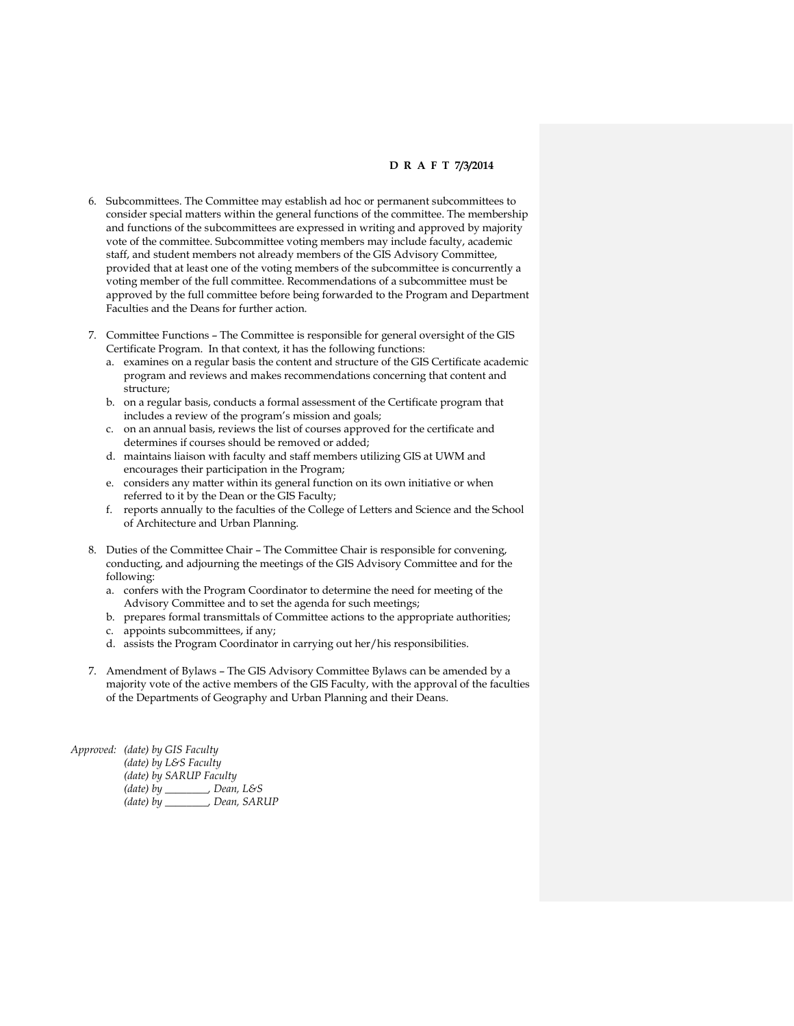- 6. Subcommittees. The Committee may establish ad hoc or permanent subcommittees to consider special matters within the general functions of the committee. The membership and functions of the subcommittees are expressed in writing and approved by majority vote of the committee. Subcommittee voting members may include faculty, academic staff, and student members not already members of the GIS Advisory Committee, provided that at least one of the voting members of the subcommittee is concurrently a voting member of the full committee. Recommendations of a subcommittee must be approved by the full committee before being forwarded to the Program and Department Faculties and the Deans for further action.
- 7. Committee Functions The Committee is responsible for general oversight of the GIS Certificate Program. In that context, it has the following functions:
	- a. examines on a regular basis the content and structure of the GIS Certificate academic program and reviews and makes recommendations concerning that content and structure;
	- b. on a regular basis, conducts a formal assessment of the Certificate program that includes a review of the program's mission and goals;
	- c. on an annual basis, reviews the list of courses approved for the certificate and determines if courses should be removed or added;
	- d. maintains liaison with faculty and staff members utilizing GIS at UWM and encourages their participation in the Program;
	- e. considers any matter within its general function on its own initiative or when referred to it by the Dean or the GIS Faculty;
	- f. reports annually to the faculties of the College of Letters and Science and the School of Architecture and Urban Planning.
- 8. Duties of the Committee Chair The Committee Chair is responsible for convening, conducting, and adjourning the meetings of the GIS Advisory Committee and for the following:
	- a. confers with the Program Coordinator to determine the need for meeting of the Advisory Committee and to set the agenda for such meetings;
	- b. prepares formal transmittals of Committee actions to the appropriate authorities;
	- c. appoints subcommittees, if any;
	- d. assists the Program Coordinator in carrying out her/his responsibilities.
- 7. Amendment of Bylaws The GIS Advisory Committee Bylaws can be amended by a majority vote of the active members of the GIS Faculty, with the approval of the faculties of the Departments of Geography and Urban Planning and their Deans.

*Approved: (date) by GIS Faculty (date) by L&S Faculty (date) by SARUP Faculty (date) by \_\_\_\_\_\_\_\_, Dean, L&S (date) by \_\_\_\_\_\_\_\_, Dean, SARUP*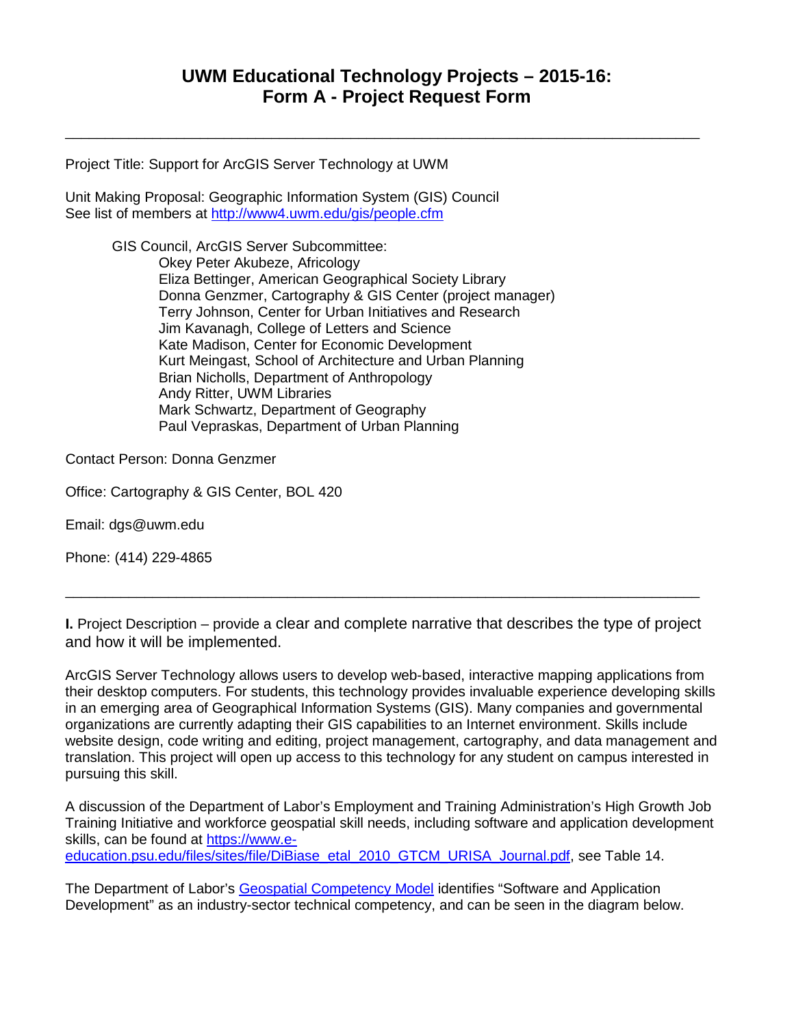\_\_\_\_\_\_\_\_\_\_\_\_\_\_\_\_\_\_\_\_\_\_\_\_\_\_\_\_\_\_\_\_\_\_\_\_\_\_\_\_\_\_\_\_\_\_\_\_\_\_\_\_\_\_\_\_\_\_\_\_\_\_\_\_\_\_\_\_\_\_\_\_\_\_\_\_\_\_\_\_

Project Title: Support for ArcGIS Server Technology at UWM

Unit Making Proposal: Geographic Information System (GIS) Council See list of members at<http://www4.uwm.edu/gis/people.cfm>

> GIS Council, ArcGIS Server Subcommittee: Okey Peter Akubeze, Africology Eliza Bettinger, American Geographical Society Library Donna Genzmer, Cartography & GIS Center (project manager) Terry Johnson, Center for Urban Initiatives and Research Jim Kavanagh, College of Letters and Science Kate Madison, Center for Economic Development Kurt Meingast, School of Architecture and Urban Planning Brian Nicholls, Department of Anthropology Andy Ritter, UWM Libraries Mark Schwartz, Department of Geography Paul Vepraskas, Department of Urban Planning

Contact Person: Donna Genzmer

Office: Cartography & GIS Center, BOL 420

Email: dgs@uwm.edu

Phone: (414) 229-4865

**I.** Project Description – provide a clear and complete narrative that describes the type of project and how it will be implemented.

\_\_\_\_\_\_\_\_\_\_\_\_\_\_\_\_\_\_\_\_\_\_\_\_\_\_\_\_\_\_\_\_\_\_\_\_\_\_\_\_\_\_\_\_\_\_\_\_\_\_\_\_\_\_\_\_\_\_\_\_\_\_\_\_\_\_\_\_\_\_\_\_\_\_\_\_\_\_\_\_

ArcGIS Server Technology allows users to develop web-based, interactive mapping applications from their desktop computers. For students, this technology provides invaluable experience developing skills in an emerging area of Geographical Information Systems (GIS). Many companies and governmental organizations are currently adapting their GIS capabilities to an Internet environment. Skills include website design, code writing and editing, project management, cartography, and data management and translation. This project will open up access to this technology for any student on campus interested in pursuing this skill.

A discussion of the Department of Labor's Employment and Training Administration's High Growth Job Training Initiative and workforce geospatial skill needs, including software and application development skills, can be found at [https://www.e-](https://www.e-education.psu.edu/files/sites/file/DiBiase_etal_2010_GTCM_URISA_Journal.pdf)

[education.psu.edu/files/sites/file/DiBiase\\_etal\\_2010\\_GTCM\\_URISA\\_Journal.pdf,](https://www.e-education.psu.edu/files/sites/file/DiBiase_etal_2010_GTCM_URISA_Journal.pdf) see Table 14.

The Department of Labor's [Geospatial Competency Model](http://www.careeronestop.org/competencymodel/pyramid.aspx?GEO=Y) identifies "Software and Application Development" as an industry-sector technical competency, and can be seen in the diagram below.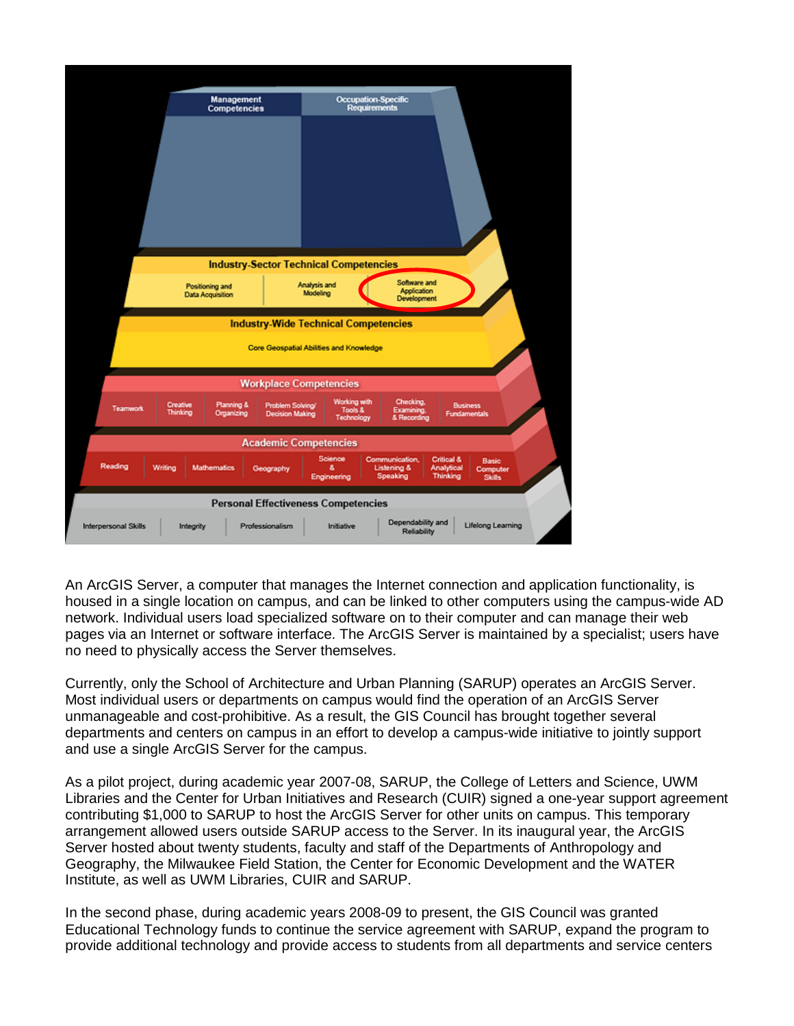

An ArcGIS Server, a computer that manages the Internet connection and application functionality, is housed in a single location on campus, and can be linked to other computers using the campus-wide AD network. Individual users load specialized software on to their computer and can manage their web pages via an Internet or software interface. The ArcGIS Server is maintained by a specialist; users have no need to physically access the Server themselves.

Currently, only the School of Architecture and Urban Planning (SARUP) operates an ArcGIS Server. Most individual users or departments on campus would find the operation of an ArcGIS Server unmanageable and cost-prohibitive. As a result, the GIS Council has brought together several departments and centers on campus in an effort to develop a campus-wide initiative to jointly support and use a single ArcGIS Server for the campus.

As a pilot project, during academic year 2007-08, SARUP, the College of Letters and Science, UWM Libraries and the Center for Urban Initiatives and Research (CUIR) signed a one-year support agreement contributing \$1,000 to SARUP to host the ArcGIS Server for other units on campus. This temporary arrangement allowed users outside SARUP access to the Server. In its inaugural year, the ArcGIS Server hosted about twenty students, faculty and staff of the Departments of Anthropology and Geography, the Milwaukee Field Station, the Center for Economic Development and the WATER Institute, as well as UWM Libraries, CUIR and SARUP.

In the second phase, during academic years 2008-09 to present, the GIS Council was granted Educational Technology funds to continue the service agreement with SARUP, expand the program to provide additional technology and provide access to students from all departments and service centers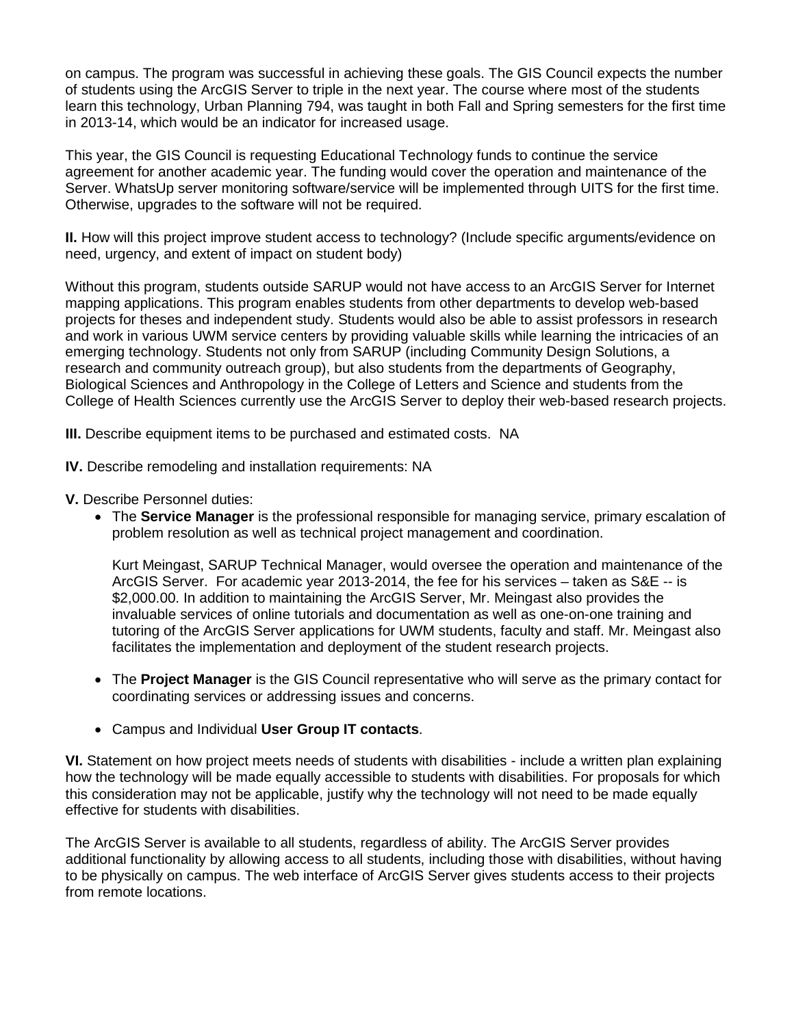on campus. The program was successful in achieving these goals. The GIS Council expects the number of students using the ArcGIS Server to triple in the next year. The course where most of the students learn this technology, Urban Planning 794, was taught in both Fall and Spring semesters for the first time in 2013-14, which would be an indicator for increased usage.

This year, the GIS Council is requesting Educational Technology funds to continue the service agreement for another academic year. The funding would cover the operation and maintenance of the Server. WhatsUp server monitoring software/service will be implemented through UITS for the first time. Otherwise, upgrades to the software will not be required.

**II.** How will this project improve student access to technology? (Include specific arguments/evidence on need, urgency, and extent of impact on student body)

Without this program, students outside SARUP would not have access to an ArcGIS Server for Internet mapping applications. This program enables students from other departments to develop web-based projects for theses and independent study. Students would also be able to assist professors in research and work in various UWM service centers by providing valuable skills while learning the intricacies of an emerging technology. Students not only from SARUP (including Community Design Solutions, a research and community outreach group), but also students from the departments of Geography, Biological Sciences and Anthropology in the College of Letters and Science and students from the College of Health Sciences currently use the ArcGIS Server to deploy their web-based research projects.

**III.** Describe equipment items to be purchased and estimated costs. NA

- **IV.** Describe remodeling and installation requirements: NA
- **V.** Describe Personnel duties:
	- The **Service Manager** is the professional responsible for managing service, primary escalation of problem resolution as well as technical project management and coordination.

Kurt Meingast, SARUP Technical Manager, would oversee the operation and maintenance of the ArcGIS Server. For academic year 2013-2014, the fee for his services – taken as S&E -- is \$2,000.00. In addition to maintaining the ArcGIS Server, Mr. Meingast also provides the invaluable services of online tutorials and documentation as well as one-on-one training and tutoring of the ArcGIS Server applications for UWM students, faculty and staff. Mr. Meingast also facilitates the implementation and deployment of the student research projects.

- The **Project Manager** is the GIS Council representative who will serve as the primary contact for coordinating services or addressing issues and concerns.
- Campus and Individual **User Group IT contacts**.

**VI.** Statement on how project meets needs of students with disabilities - include a written plan explaining how the technology will be made equally accessible to students with disabilities. For proposals for which this consideration may not be applicable, justify why the technology will not need to be made equally effective for students with disabilities.

The ArcGIS Server is available to all students, regardless of ability. The ArcGIS Server provides additional functionality by allowing access to all students, including those with disabilities, without having to be physically on campus. The web interface of ArcGIS Server gives students access to their projects from remote locations.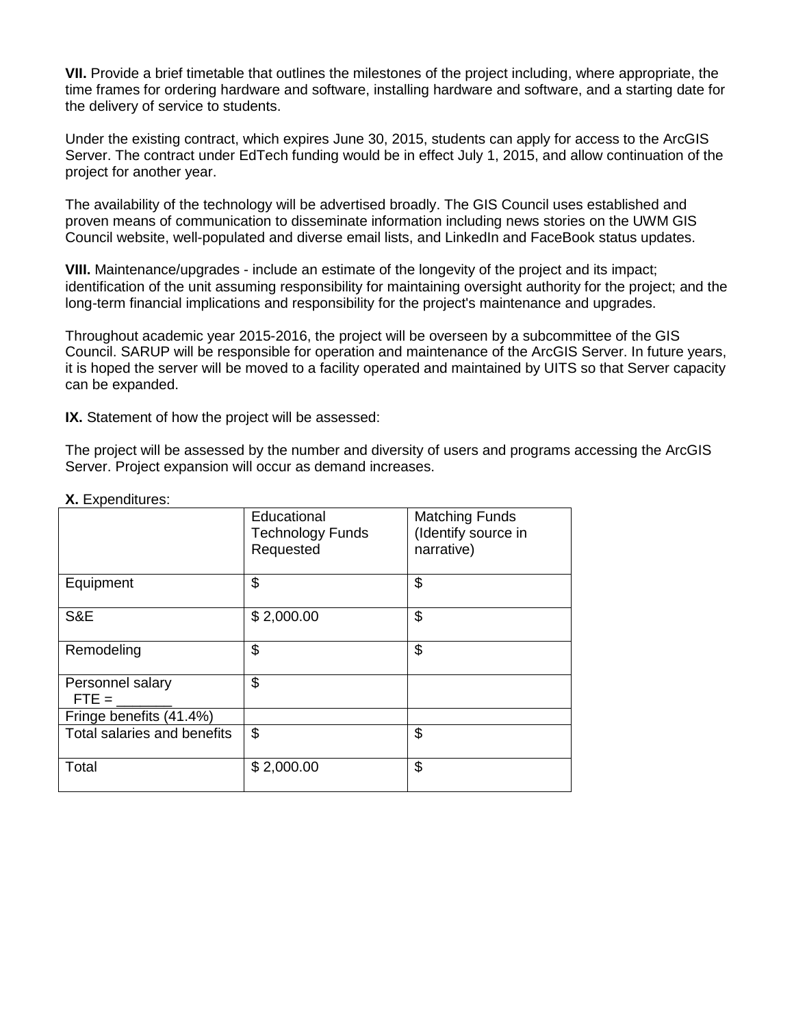**VII.** Provide a brief timetable that outlines the milestones of the project including, where appropriate, the time frames for ordering hardware and software, installing hardware and software, and a starting date for the delivery of service to students.

Under the existing contract, which expires June 30, 2015, students can apply for access to the ArcGIS Server. The contract under EdTech funding would be in effect July 1, 2015, and allow continuation of the project for another year.

The availability of the technology will be advertised broadly. The GIS Council uses established and proven means of communication to disseminate information including news stories on the UWM GIS Council website, well-populated and diverse email lists, and LinkedIn and FaceBook status updates.

**VIII.** Maintenance/upgrades - include an estimate of the longevity of the project and its impact; identification of the unit assuming responsibility for maintaining oversight authority for the project; and the long-term financial implications and responsibility for the project's maintenance and upgrades.

Throughout academic year 2015-2016, the project will be overseen by a subcommittee of the GIS Council. SARUP will be responsible for operation and maintenance of the ArcGIS Server. In future years, it is hoped the server will be moved to a facility operated and maintained by UITS so that Server capacity can be expanded.

**IX.** Statement of how the project will be assessed:

The project will be assessed by the number and diversity of users and programs accessing the ArcGIS Server. Project expansion will occur as demand increases.

|                             | Educational<br><b>Technology Funds</b> | <b>Matching Funds</b><br>(Identify source in |
|-----------------------------|----------------------------------------|----------------------------------------------|
|                             | Requested                              | narrative)                                   |
| Equipment                   | \$                                     | \$                                           |
| S&E                         | \$2,000.00                             | \$                                           |
| Remodeling                  | \$                                     | \$                                           |
| Personnel salary<br>$FTE =$ | \$                                     |                                              |
| Fringe benefits (41.4%)     |                                        |                                              |
| Total salaries and benefits | \$                                     | \$                                           |
| Total                       | \$2,000.00                             | \$                                           |

### **X.** Expenditures: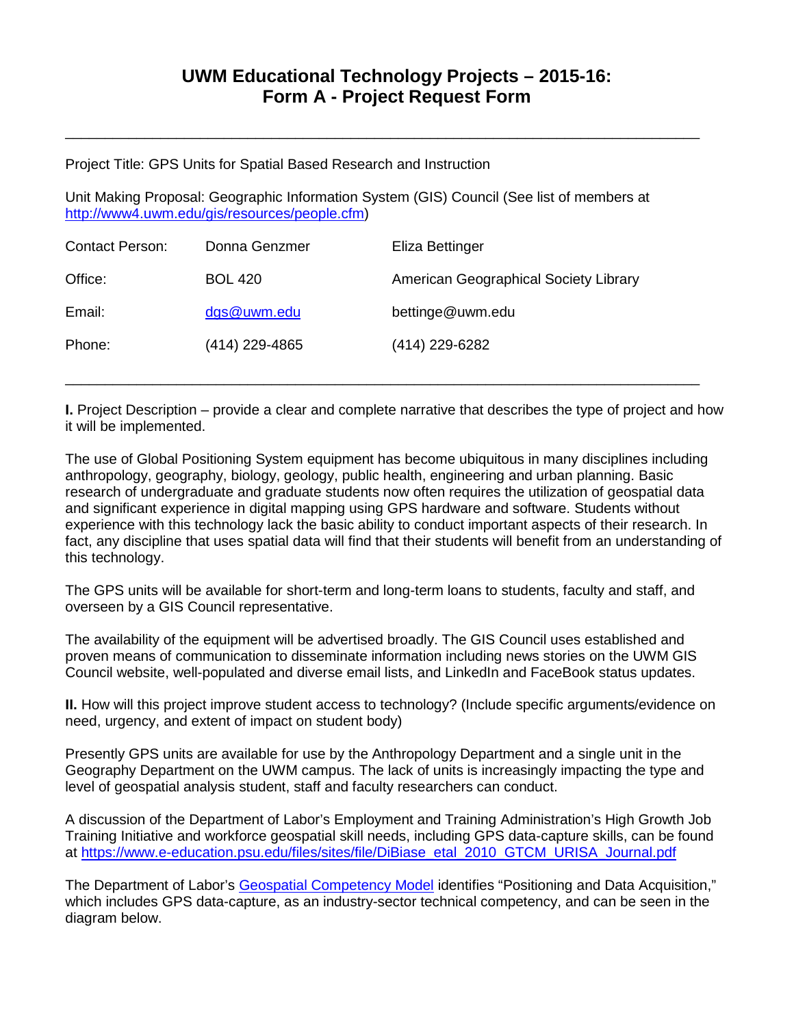\_\_\_\_\_\_\_\_\_\_\_\_\_\_\_\_\_\_\_\_\_\_\_\_\_\_\_\_\_\_\_\_\_\_\_\_\_\_\_\_\_\_\_\_\_\_\_\_\_\_\_\_\_\_\_\_\_\_\_\_\_\_\_\_\_\_\_\_\_\_\_\_\_\_\_\_\_\_\_\_

Project Title: GPS Units for Spatial Based Research and Instruction

Unit Making Proposal: Geographic Information System (GIS) Council (See list of members at [http://www4.uwm.edu/gis/resources/people.cfm\)](http://www4.uwm.edu/gis/resources/people.cfm)

| American Geographical Society Library |  |
|---------------------------------------|--|
|                                       |  |
|                                       |  |
|                                       |  |

**I.** Project Description – provide a clear and complete narrative that describes the type of project and how it will be implemented.

\_\_\_\_\_\_\_\_\_\_\_\_\_\_\_\_\_\_\_\_\_\_\_\_\_\_\_\_\_\_\_\_\_\_\_\_\_\_\_\_\_\_\_\_\_\_\_\_\_\_\_\_\_\_\_\_\_\_\_\_\_\_\_\_\_\_\_\_\_\_\_\_\_\_\_\_\_\_\_\_

The use of Global Positioning System equipment has become ubiquitous in many disciplines including anthropology, geography, biology, geology, public health, engineering and urban planning. Basic research of undergraduate and graduate students now often requires the utilization of geospatial data and significant experience in digital mapping using GPS hardware and software. Students without experience with this technology lack the basic ability to conduct important aspects of their research. In fact, any discipline that uses spatial data will find that their students will benefit from an understanding of this technology.

The GPS units will be available for short-term and long-term loans to students, faculty and staff, and overseen by a GIS Council representative.

The availability of the equipment will be advertised broadly. The GIS Council uses established and proven means of communication to disseminate information including news stories on the UWM GIS Council website, well-populated and diverse email lists, and LinkedIn and FaceBook status updates.

**II.** How will this project improve student access to technology? (Include specific arguments/evidence on need, urgency, and extent of impact on student body)

Presently GPS units are available for use by the Anthropology Department and a single unit in the Geography Department on the UWM campus. The lack of units is increasingly impacting the type and level of geospatial analysis student, staff and faculty researchers can conduct.

A discussion of the Department of Labor's Employment and Training Administration's High Growth Job Training Initiative and workforce geospatial skill needs, including GPS data-capture skills, can be found at [https://www.e-education.psu.edu/files/sites/file/DiBiase\\_etal\\_2010\\_GTCM\\_URISA\\_Journal.pdf](https://www.e-education.psu.edu/files/sites/file/DiBiase_etal_2010_GTCM_URISA_Journal.pdf)

The Department of Labor's [Geospatial Competency Model](http://www.careeronestop.org/competencymodel/pyramid.aspx?GEO=Y) identifies "Positioning and Data Acquisition," which includes GPS data-capture, as an industry-sector technical competency, and can be seen in the diagram below.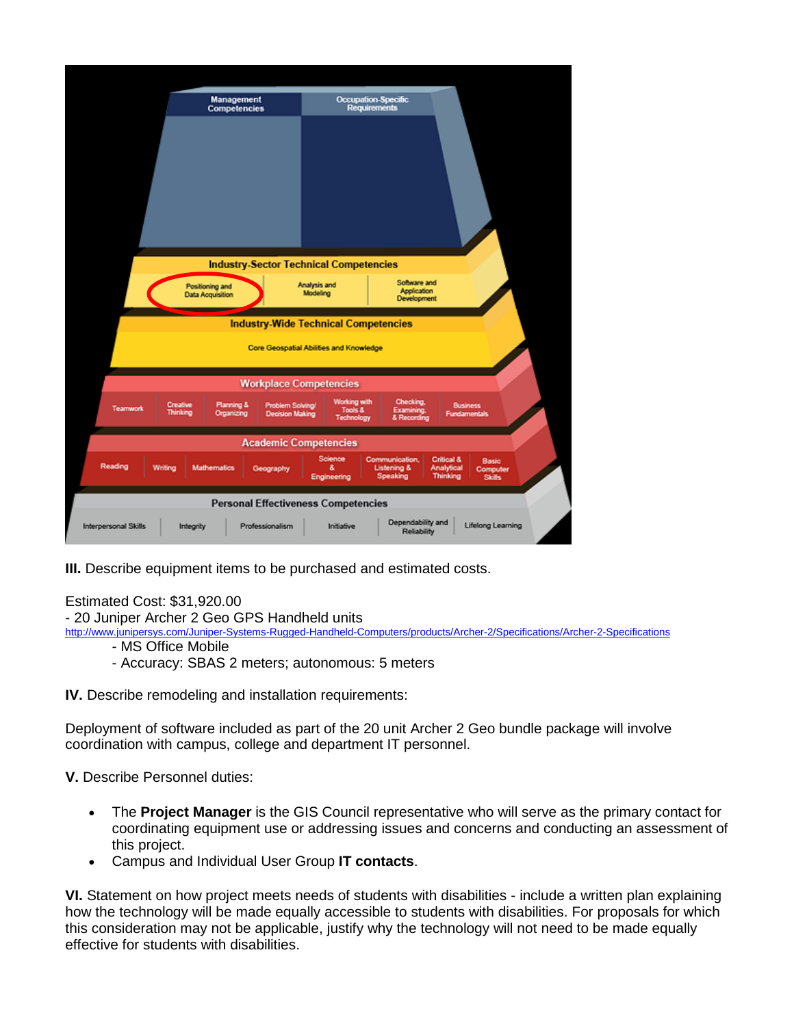|                      |                      | Management<br><b>Competencies</b>   | <b>Industry-Sector Technical Competencies</b>                                                 | Occupation-Specific<br><b>Requirements</b> |                                                      |                                                                            |  |
|----------------------|----------------------|-------------------------------------|-----------------------------------------------------------------------------------------------|--------------------------------------------|------------------------------------------------------|----------------------------------------------------------------------------|--|
|                      |                      | Positioning and<br>Data Acquisition | Analysis and<br>Modeling                                                                      |                                            | Software and<br>Application<br><b>Development</b>    |                                                                            |  |
|                      |                      |                                     | <b>Industry-Wide Technical Competencies</b><br><b>Core Geospatial Abilities and Knowledge</b> |                                            |                                                      |                                                                            |  |
|                      |                      |                                     | <b>Workplace Competencies</b>                                                                 |                                            |                                                      |                                                                            |  |
| <b>Teamwork</b>      | Creative<br>Thinking | Planning &<br>Organizing            | Problem Solving/<br><b>Decision Making</b>                                                    | Working with<br>Tools &<br>Technology      | Checking,<br>Examining,<br>& Recording               | <b>Business</b><br><b>Fundamentals</b>                                     |  |
|                      |                      |                                     | <b>Academic Competencies</b>                                                                  |                                            |                                                      |                                                                            |  |
| Reading              | Writing              | <b>Mathematics</b>                  | Geography                                                                                     | Science<br>å.<br>Engineering               | Communication,<br><b>Listening &amp;</b><br>Speaking | Critical &<br>Basic<br>Analytical<br>Computer<br>Thinking<br><b>Skills</b> |  |
|                      |                      |                                     | <b>Personal Effectiveness Competencies</b>                                                    |                                            |                                                      |                                                                            |  |
| Interpersonal Skills | Integrity            |                                     | Professionalism                                                                               | Initiative                                 | Dependability and<br>Reliability                     | <b>Lifelong Learning</b>                                                   |  |

**III.** Describe equipment items to be purchased and estimated costs.

### Estimated Cost: \$31,920.00

- 20 Juniper Archer 2 Geo GPS Handheld units

<http://www.junipersys.com/Juniper-Systems-Rugged-Handheld-Computers/products/Archer-2/Specifications/Archer-2-Specifications>

- MS Office Mobile
- Accuracy: SBAS 2 meters; autonomous: 5 meters

**IV.** Describe remodeling and installation requirements:

Deployment of software included as part of the 20 unit Archer 2 Geo bundle package will involve coordination with campus, college and department IT personnel.

**V.** Describe Personnel duties:

- The **Project Manager** is the GIS Council representative who will serve as the primary contact for coordinating equipment use or addressing issues and concerns and conducting an assessment of this project.
- Campus and Individual User Group **IT contacts**.

**VI.** Statement on how project meets needs of students with disabilities - include a written plan explaining how the technology will be made equally accessible to students with disabilities. For proposals for which this consideration may not be applicable, justify why the technology will not need to be made equally effective for students with disabilities.